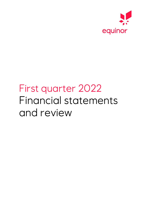

# First quarter 2022 Financial statements and review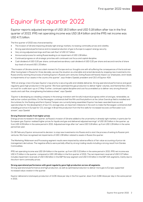# Equinor first quarter 2022

Equinor reports adjusted earnings of USD 18.0 billion and USD 5.18 billion after tax in the first quarter of 2022. IFRS net operating income was USD 18.4 billion and the IFRS net income was USD 4.71 billion.

The first quarter of 2022 was characterised by:

- The invasion of Ukraine impacting already tight energy markets, increasing commodity prices and volatility.
- Strong operational performance and increased production of gas to Europe to support energy security.
- Very strong adjusted earnings and free cash flow\* of USD 12.7 billion.
- Announced process for exiting Russia leading to an impairment of USD 1.08 billion.
- Continued progress on all strategic priorities with continued cost focus and capital discipline.
- Cash dividend of USD 0.20 per share, continued extraordinary cash dividend of USD 0.20 per share and second tranche of share buy-back of around USD 1.33 billion.

"The invasion of Ukraine stands as a dark moment for Europe and our thoughts are with all suffering the consequences of the brutal war. After having been in Russia for three decades, we saw the situation as untenable and acted decisively by stopping new investments into Russia and by starting the process of exiting Equinor's Russian joint ventures. Exiting Russia will heavily impact our employees, and it leads to impairments of our assets in the country this quarter", says Anders Opedal, president and CEO of Equinor ASA.

"With an energy crisis in Europe, Equinor's top priority is securing safe and reliable deliveries. Strong operational performance and good regularity gave high production in the quarter. We have optimised the gas production to deliver higher volumes, and Hammerfest LNG is on track for a safe start-up on 17 May. Further, continued capital discipline and cost focus enabled us to deliver very strong financial results and cash flow, strengthening the balance sheet", says Opedal.

"Equinor is developing as a leading company in the energy transition with forceful industrial progress within oil and gas, renewables, as well as low-carbon portfolios. On the Norwegian continental shelf the fifth and final platform at the Johan Sverdrup field is installed and the turbines for the floating wind farm Hywind Tampen are currently being assembled. Equinor has been awarded licences and operatorships for the development of two CO<sub>2</sub> storage sites, an important milestone in the work to make the Norwegian continental shelf a leading province in Europe for CO2 storage. In Brazil the production from the first wells for increased recovery at Roncador is on stream", says Opedal.

#### **Strong financial results from higher prices**

Energy prices increased in the quarter, as Russia's invasion of Ukraine added to the uncertainty in already tight markets, in particular for European gas. Equinor realised higher prices for liquids and gas and delivered adjusted earnings\* of USD 18.0 billion in the quarter, up from USD 4.09 billion in the same period in 2021. Adjusted earnings after tax\* were USD 5.18 billion, up from USD 1.29 billion in the same period last year.

On 28 February Equinor announced its decision to stop new investments into Russia and to start the process of exiting its Russian joint ventures. We have recognised net impairments of USD 1.08 billion related to assets in Russia this quarter.

The Marketing, Midstream and Processing segment results were impacted by adverse effects of fair value accounting of price risk management derivatives. The negative effects were partially offset by strong trading results including a strong result from Danske Commodities.

IFRS net operating income was USD 18.4 billion in the quarter, up from USD 5.22 billion in the same period in 2021. IFRS net income was USD 4.71 billion in the quarter, compared to USD 1.85 billion in the first quarter of 2021. The net impairment reversal of USD 0.27 billion includes impairment reversals of USD 0.82 billion in the E&P Norway segment and USD 0.53 billion in the E&P USA segments, mainly due to the short-term commodity prices.

#### **Strong operational performance with good regularity gave high production across all segments.**

Strong operational performance and high production, as well as optimised production to deliver more gas to Europe, supported increased value creation in the quarter.

Equinor delivered a total equity production of 2,106 mboe per day in the first quarter, down from 2,168 mboe per day in the same period in 2021.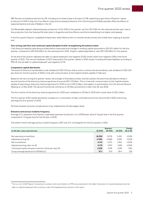E&P Norway increased production by 4%, including an increase of gas to Europe of 10%, supporting a gas share of Equinor's equity production of 50%. Production from Martin Linge and increased production from Gina Krog and Gullfaks partially offset the effects of expected decline and sale of Bakken in the US.

The Renewable segment delivered equity production of 511 GWh in the quarter, up from 451 GWh for the same period last year, due to the production from the Guanizuil IIA solar plant in Argentina and the offshore wind farms benefitting from higher wind speeds.

In the first quarter Equinor completed 4 exploration wells offshore with no commercial discoveries and 4 wells were ongoing at quarter end.

#### **Very strong cash flow and continued capital discipline further strengthening the balance sheet**

Cash flows provided by operating activities before taxes paid and changes in working capital amounted to USD 20.1 billion for the first quarter, compared to USD 6.62 billion for the same period in 2021. Organic capital expenditure\* was USD 1.80 billion for the quarter.

At the end of the quarter adjusted net debt to capital employed\* was negative 22.2%, further down from negative 0.8% in the fourth quarter of 2021. The one tax instalment of NCS taxes paid in the quarter relates to 2021 results. Including the lease liabilities according to IFRS 16, the net debt to capital employed\* was negative 10.7%.

#### **Competitive capital distribution**

The board of directors has decided a cash dividend of USD 0.20 per share, and to continue the extraordinary cash dividend of USD 0.20 per share for the first quarter of 2022, in line with communication at the Capital markets update in February.

Based on the very strong first quarter results, the strength of the balance sheet, and the outlook, the board has decided to initiate a second tranche of the share buy-back programme of around USD 1.33 billion. This is in line with communication at the Capital markets update of executing a share buy-back programme for 2022 of up to USD 5 billion, and subject to authorisation from the Annual General Meeting on 11 May 2022. The second tranche will commence on 16 May and will end no later than 26 July 2022.

The first tranche of the share buy-back programme for 2022 was completed on 25 March 2022 with a total value of USD 1 billion.

The first quarter 2022 capital distribution is based on a continuation of high commodity prices from second half of 2021 and strong earnings into first quarter of 2022.

All share buyback amounts include shares to be redeemed by the Norwegian State.

#### **Emissions and serious incidents frequency**

Average CO<sub>2</sub>-emissions from Equinor's operated upstream production, on a 100% basis, were 6.7 kg per boe in the first quarter, compared to 7.0 kg per boe for the full year of 2021.

The twelve-month average serious incident frequency (SIF) was 0.5, unchanged from the first quarter in 2021.

|                                                            | Quarters |         |         | Change       |  |  |
|------------------------------------------------------------|----------|---------|---------|--------------|--|--|
| (in USD million, unless stated otherwise)                  | Q1 2022  | Q4 2021 | Q1 2021 | $Q1$ on $Q1$ |  |  |
|                                                            |          |         |         |              |  |  |
| Net operating income/(loss)                                | 18,392   | 13.578  | 5.220   | >100%        |  |  |
| Adjusted earnings [5]                                      | 17,991   | 14.989  | 4,085   | >100%        |  |  |
| Net income/(loss)                                          | 4.714    | 3.370   | 1.854   | >100%        |  |  |
| Adjusted earnings after tax [5]                            | 5.179    | 4.397   | 1.289   | $>100\%$     |  |  |
| Total equity liquids and gas production (mboe per day) [4] | 2.106    | 2.158   | 2.168   | (3%)         |  |  |
| Group average liquids price (USD/bbl) [1]                  | 97.1     | 75.9    | 56.4    | 72%          |  |  |

<sup>\*</sup> This is a non-GAAP figure. Comparison numbers and reconciliation to IFRS are presented in the table Calculation of capital employed and net debt to capital employed ratio as shown under the Supplementary section in the report.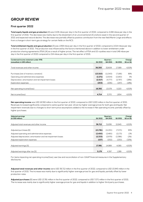### **GROUP REVIEW**

#### **First quarter 2022**

**Total equity liquids and gas production** [4] was 2,106 mboe per day in the first quarter of 2022, compared to 2,168 mboe per day in the first quarter of 2021. The decrease was mainly due to the divestment of an unconventional US onshore asset in the second quarter of 2021 and expected natural decline. The decrease was partially offset by positive contribution from the new field Martin Linge and effects from a change in short-term gas strategy for certain fields on the NCS.

**Total entitlement liquids and gas production** [3] was 1,958 mboe per day in the first quarter of 2022, compared to 2,014 mboe per day in the first quarter of 2021. The production was influenced by the factors mentioned above in addition to lower entitlement under production sharing agreements (PSA) [4] as a result of higher prices. The net effect of PSA and US royalties was in total 148 mboe per day in the first quarter of 2022 compared to 154 mboe per day in the first quarter of 2021.

| Condensed income statement under IFRS<br>(unaudited, in USD million) | Q1 2022   | Quarters<br>Q4 2021 | Q1 2021 | Change<br>$Q1$ on $Q1$ |
|----------------------------------------------------------------------|-----------|---------------------|---------|------------------------|
|                                                                      |           |                     |         |                        |
| Total revenues and other income                                      | 36,393    | 32.608              | 17.589  | >100%                  |
|                                                                      |           |                     |         |                        |
| Purchases [net of inventory variation]                               | (13, 510) | (11,543)            | (7,166) | 89%                    |
| Operating and administrative expenses                                | (2,271)   | (2,504)             | (2,160) | 5%                     |
| Depreciation, amortisation and net impairment losses                 | (2,017)   | (4,777)             | (2,797) | (28%)                  |
| <b>Exploration expenses</b>                                          | (203)     | (206)               | (247)   | (18%)                  |
|                                                                      |           |                     |         |                        |
| Net operating income/(loss)                                          | 18,392    | 13.578              | 5.220   | $>100\%$               |
|                                                                      |           |                     |         |                        |
| Net income/(loss)                                                    | 4.714     | 3.370               | 1.854   | >100%                  |

**Net operating income** was USD 18,392 million in the first quarter of 2022, compared to USD 5,220 million in the first quarter of 2021. Revenues increased significantly compared to same quarter last year, driven by higher average prices for both gas and liquids. Net impairment reversals due to changes to short term price assumptions added to the increase in Net operating income, partially offset by higher purchases.

| <b>Adjusted earnings</b><br>(in USD million)                  | Q1 2022   | <b>Quarters</b><br>Q4 2021 | Q1 2021 | Change<br>$Q1$ on $Q1$ |
|---------------------------------------------------------------|-----------|----------------------------|---------|------------------------|
|                                                               |           |                            |         |                        |
| Adjusted total revenues and other income                      | 36,712    | 31,836                     | 15,945  | $>100\%$               |
|                                                               |           |                            |         |                        |
| Adjusted purchases [6]                                        | (13, 781) | (11,201)                   | (7,071) | 95%                    |
| Adjusted operating and administrative expenses                | (2.450)   | (2.465)                    | (2,173) | 13%                    |
| Adjusted depreciation, amortisation and net impairment losses | (2,333)   | (2,979)                    | (2,386) | (2%)                   |
| Adjusted exploration expenses                                 | (157)     | (202)                      | (230)   | (32%)                  |
|                                                               |           |                            |         |                        |
| Adjusted earnings [5]                                         | 17.991    | 14.989                     | 4.085   | $>100\%$               |
|                                                               |           |                            |         |                        |
| Adjusted earnings after tax [5]                               | 5.179     | 4,397                      | 1.289   | >100%                  |

For items impacting net operating income/(loss), see Use and reconciliation of non-GAAP financial measures in the Supplementary disclosures.

**Adjusted total revenues and other income** were USD 36,712 million in the first quarter of 2022, compared to USD 15,945 million in the first quarter of 2021. The increase was mainly due to significantly higher average prices for gas and liquids, partially offset by lower production rates.

**Adjusted purchases** [6] were USD 13,781 million in the first quarter of 2022, compared to USD 7,071 million in the first quarter of 2021. The increase was mainly due to significantly higher average prices for gas and liquids in addition to higher third party purchases.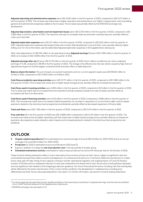**Adjusted operating and administrative expenses** were USD 2,450 million in the first quarter of 2022, compared to USD 2,173 million in the first quarter of 2021. The increase was mainly due to higher operation and maintenance cost. Higher transportation costs and selling, general and administrative expenses added to the increase. The increase was partially offset by the NOK/USD exchange rate development.

**Adjusted depreciation, amortisation and net impairment losses** were USD 2,333 million in the first quarter of 2022, compared to USD 2,386 million in the first quarter of 2021. The reduction was due to increased reserves and lower overall production, partially offset by ramp-up of new field.

**Adjusted exploration expenses** were USD 157 million in the first quarter of 2022, compared to USD 230 million in the first quarter of 2021. Adjusted exploration expenses decreased mainly due to lower field development cost and other costs, partially offset by higher drilling cost. For more information, see the table titled Adjusted exploration expenses in the Supplementary disclosures.

After total adjustments<sup>1</sup> of USD 401 million to net operating income, **Adjusted earnings** [5] were USD 17,991 million in the first quarter of 2022, an increase of USD 13,906 million from the first quarter of 2021.

**Adjusted earnings after tax** [5] were USD 5,179 million in the first quarter of 2022, which reflects an effective tax rate on adjusted earnings of 71.2%, compared to 68.4% in the first quarter of 2021. The change in the effective tax rate was mainly caused by high share of adjusted earnings from the Norwegian continental shelf and lower effect of uplift deduction.

**Balance sheet information:** The sum of equity accounted investments and non-current segment assets was USD 69,910 million at 31 March 2022, compared to USD 75,930 million at 31 March 2021.

**Cash flows provided by operating activities** were USD 15,771 million in the first quarter of 2022, compared to USD 5,984 million in the first quarter of 2021. The increase was mainly due to higher liquids and gas prices, partially offset by increased tax payments.

**Cash flows used in investing activities** were 4,465 million in the first quarter of 2022, compared to 613 million in the first quarter of 2021. The increase was mainly due to increased financial investments and decreased proceeds from sale of assets, partially offset by increased cash flow from derivatives.

**Cash flows used in financing activities** were 4,142 million in the first quarter of 2022, compared to 3,096 million in the first quarter of 2021. The increase was mainly due to increased collateral payments, an increase in repayment of current finance debt, and increased payments related to the share buy-back programme and dividends, partially offset by decreased repayment of finance debt.

**Total cash flows** were USD 7,165 million in the first quarter of 2022, compared to USD 2,274 million in the first quarter of 2021.

Free cash flow [5] in the first quarter of 2022 was USD 12,689 million compared to USD 5,170 million in the first quarter of 2021. The increase was mainly driven by higher operating cash flow mainly due to higher liquids and gas prices, partially offset by increased tax payments, decreased proceeds related to sale of assets and increased payments related to the share buy-back programme and dividends.

### **OUTLOOK**

- **Organic capital expenditures** [5] are estimated at an annual average of around USD 10 billion for 2022-2023 and at an annual average of around USD 12 billion for 2024-2025 2 .
- **Production** for 2022 is estimated to be around 2% above 2021 level [7].
- Equinor's ambition is to keep the **unit of production cost** in the top quartile of its peer group.
- **Scheduled maintenance activity** is estimated to reduce equity production by around 45 mboe per day for the full year of 2022.

These forward-looking statements reflect current views about future events and are, by their nature, subject to significant risks and uncertainties because they relate to events and depend on circumstances that will occur in the future. Deferral of production to create future value, gas off-take, timing of new capacity coming on stream, operational regularity, the ongoing impact of Covid-19, Russia's invasion of Ukraine and our subsequent decision to stop new investments into Russia and to start the process of exiting Russia represent the most significant risks related to the foregoing production guidance. Our future financial performance, including cash flow and liquidity, will be affected by the extent and duration of the current market conditions, the development in realised prices, including price differentials and other factors discussed elsewhere in the report. For further information, see section Forward-looking statements.

 $^{\rm 1}$  For items impacting net operating income, see Reconciliation of net operating income/(loss) to adjusted earnings, and Use and reconciliation of non-GAAP financial measures in the Supplementary disclosures.

<sup>2</sup> USD/NOK exchange rate assumption of 9.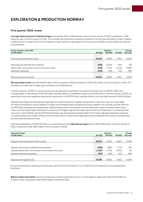### **EXPLORATION & PRODUCTION NORWAY**

#### **First quarter 2022 review**

**Average daily production of liquids and gas** increased by 4% to 1,436 mboe per day in the first quarter of 2022, compared to 1,384 mboe per day in the first quarter of 2021. The increase was mainly due to positive contribution from the new field Martin Linge in addition to effects from a change in short-term strategy from gas injection to gas export for Gina Krog and Gullfaks, partially offset by expected natural decline.

| Income statement under IFRS<br>(in USD million)      | Q1 2022 | <b>Quarters</b><br>Q4 2021 | Q1 2021 | Change<br>$Q1$ on $Q1$ |
|------------------------------------------------------|---------|----------------------------|---------|------------------------|
|                                                      |         |                            |         |                        |
| Total revenues and other income                      | 18,424  | 17.669                     | 5.783   | >100%                  |
|                                                      |         |                            |         |                        |
| Operating and administrative expenses                | (838)   | (1,020)                    | (794)   | 6%                     |
| Depreciation, amortisation and net impairment losses | (546)   | (1,722)                    | (1,570) | (65%)                  |
| Exploration expenses                                 | (106)   | (69)                       | (70)    | 52%                    |
|                                                      |         |                            |         |                        |
| Net operating income/(loss)                          | 16.934  | 14.858                     | 3.350   | >100%                  |

**Net operating income** was USD 16,934 million in the first quarter of 2022 compared to USD 3,350 million in the first quarter of 2021. The increase was mainly due to higher gas transfer price and liquids price.

In the first quarter of 2022, net operating income was positively impacted by net reversal of impairments of USD 817 million and unrealised gain on derivatives of USD 154 million, partially offset by underlifted volumes of USD 295 million. In the first quarter of 2021, net operating income was negatively impacted by impairments of USD 276 million, partially offset by net overlifted volumes of USD 65 million.

Adjusted operating and administrative expenses increased mainly due to higher transportation costs and ramp-up of new fields. Increased maintenance costs in addition to higher environmental taxes and electricity prices added to the increase, partially offset by the NOK/USD exchange rate development. Adjusted depreciation, amortisation and net impairment losses increased mainly due to ramp-up of new fields, higher field specific production and higher depreciation basis due to reversal of impairment. Increased proved reserves on several fields and the NOK/USD exchange rate development partially offset the increase. Adjusted exploration expenses increased mainly due to higher drilling costs and lower portion of exploration expenditure being capitalised this quarter, partially offset by lower field development costs.

After total adjustments of USD 676 million to net operating income, **Adjusted earnings**[5] were USD 16,258 million in the first quarter of 2022, compared to USD 3,563 million in the first quarter of 2021.

| Adjusted earnings<br>(in USD million)                         | Q1 2022 | <b>Quarters</b><br>Q4 2021 | Q1 2021 | Change<br>Q1 on Q1 |
|---------------------------------------------------------------|---------|----------------------------|---------|--------------------|
|                                                               |         |                            |         |                    |
| Adjusted total revenues and other income                      | 18,633  | 17.589                     | 5.640   | $>100\%$           |
|                                                               |         |                            |         |                    |
| Adjusted operating and administrative expenses                | (906)   | (985)                      | (714)   | 27%                |
| Adjusted depreciation, amortisation and net impairment losses | (1,367) | (1,722)                    | (1,293) | 6%                 |
| Adjusted exploration expenses                                 | (101)   | (69)                       | (70)    | 46%                |
|                                                               |         |                            |         |                    |
| Adjusted earnings/(loss) [5]                                  | 16,258  | 14.813                     | 3.563   | >100%              |

For items impacting net operating income/(loss), see Use and reconciliation of non-GAAP financial measures in the Supplementary disclosures.

**Balance sheet information:** The sum of equity accounted investments and non-current segment assets was USD 35,200 million at 31 March 2022, compared to USD 35,879 million at 31 March 2021.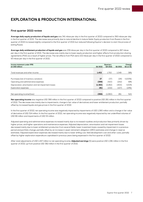### **EXPLORATION & PRODUCTION INTERNATIONAL**

#### **First quarter 2022 review**

**Average daily equity production of liquids and gas** was 341 mboe per day in the first quarter of 2022 compared to 360 mboe per day in the first quarter of 2021. The decrease was primarily due to natural decline in mature fields. Equity production from Russia in the first quarter of 2022 increased slightly compared to the first quarter of 2021 but reduced following Equinor's decision to start the process of exiting Russia.

**Average daily entitlement production of liquids and gas** was 239 mboe per day in the first quarter of 2022 compared to 267 mboe per day in the first quarter of 2021. The decrease was mainly due to lower equity production and higher effects from production sharing agreements (PSA) as a result of higher prices. The net effects from PSA were 102 mboe per day in the first quarter of 2022 compared to 93 mboe per day in the first quarter of 2021.

| Income statement under IFRS<br>(in USD million)      | Q1 2022 | Quarters<br>Q4 2021 | Q1 2021 | Change<br>Q1 on Q1 |
|------------------------------------------------------|---------|---------------------|---------|--------------------|
|                                                      |         |                     |         |                    |
| Total revenues and other income                      | 1,452   | 1.750               | 1.049   | 38%                |
|                                                      |         |                     |         |                    |
| Purchases [net of inventory variation]               | 27      | (37)                | (29)    | $>(100\%)$         |
| Operating and administrative expenses                | (399)   | (410)               | (252)   | 58%                |
| Depreciation, amortisation and net impairment losses | (1,365) | (2,262)             | (400)   | >100%              |
| Exploration expenses                                 | (81)    | (102)               | (107)   | (24%)              |
|                                                      |         |                     |         |                    |
| Net operating income/(loss)                          | (366)   | (1.060)             | 261     | N/A                |

**Net operating income** was negative USD 366 million in the first quarter of 2022 compared to positive USD 261 million in the first quarter of 2021. The decrease was mainly due to impairments, change in fair value of derivatives and lower entitlement production, partially offset by increased liquids and gas prices in the first quarter of 2022.

In the first quarter of 2022, net operating income was negatively impacted by impairments of USD 1,080 million and a change in fair value of derivative of USD 314 million. In the first quarter of 2021, net operating income was negatively impacted by net underlifted volumes of USD 66 million and impairments of USD 55 million.

Adjusted operating and administrative expenses increased mainly due to increased royalties and production fees primarily driven by higher prices, and higher operations and maintenance expenses. Adjusted depreciation, amortisation and net impairment losses decreased mainly due to lower entitlement production from several fields, lower investment basis caused by impairment in a previous period and portfolio change, partially offset by an increase in asset retirement obligation (ARO) estimates and change in reserve estimates. Adjusted exploration expenses decreased mainly due to lower drilling cost, field development cost and other costs, partially offset by higher exploration expenditure capitalised in previous years being expensed in the first quarter of 2022.

After total adjustments of USD 1,447 million to net operating income, **Adjusted earnings** [5] were positive USD 1,081 million in the first quarter of 2022, up from positive USD 382 million in the first quarter of 2021.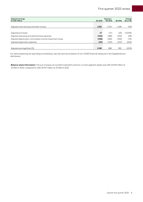| Adjusted earnings<br>(in USD million)                         | Q1 2022 | Quarters<br>Q4 2021 | Q1 2021 | Change<br>Q1 on Q1 |
|---------------------------------------------------------------|---------|---------------------|---------|--------------------|
|                                                               |         |                     |         |                    |
| Adjusted total revenues and other income                      | 1,851   | 1.700               | 1.198   | 55%                |
|                                                               |         |                     |         |                    |
| Adjusted purchases                                            | 27      | (37)                | (29)    | $>(100\%)$         |
| Adjusted operating and administrative expenses                | (432)   | (388)               | (335)   | 29%                |
| Adjusted depreciation, amortisation and net impairment losses | (326)   | (484)               | (349)   | (7%)               |
| Adjusted exploration expenses                                 | (40)    | (102)               | (103)   | (61%)              |
|                                                               |         |                     |         |                    |
| Adjusted earnings/(loss) [5]                                  | 1.081   | 688                 | 382     | >100%              |

For items impacting net operating income/(loss), see Use and reconciliation of non-GAAP financial measures in the Supplementary disclosures.

**Balance sheet information:** The sum of equity accounted investments and non-current segment assets was USD 15,444 million at 31 March 2022, compared to USD 18,707 million at 31 March 2021.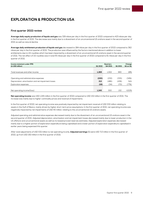### **EXPLORATION & PRODUCTION USA**

#### **First quarter 2022 review**

**Average daily equity production of liquids and gas** was 329 mboe per day in the first quarter of 2022 compared to 423 mboe per day in the first quarter of 2021. The decrease was mainly due to a divestment of an unconventional US onshore asset in the second quarter of 2021 as well as natural decline.

**Average daily entitlement production of liquids and gas** decreased to 284 mboe per day in the first quarter of 2022 compared to 362 mboe per day in the first quarter of 2021. The production was influenced by the factors mentioned above in addition to lower entitlements due to US royalties which has been impacted by a divestment of an unconventional US onshore asset in the second quarter of 2021. The net effect of US royalties was in total 45 mboe per day in the first quarter of 2022 compared to 61 mboe per day in the first quarter of 2021.

| Income statement under IFRS<br>(in USD million)      | Q1 2022 | Quarters<br>Q4 2021 | Q1 2021 | Change<br>Q1 on Q1 |
|------------------------------------------------------|---------|---------------------|---------|--------------------|
|                                                      |         |                     |         |                    |
| Total revenues and other income                      | 1.269   | 1.302               | 993     | 28%                |
|                                                      |         |                     |         |                    |
| Operating and administrative expenses                | (220)   | (232)               | (335)   | (34%)              |
| Depreciation, amortisation and net impairment losses | 212     | (486)               | (436)   | N/A                |
| Exploration expenses                                 | (16)    | (34)                | (70)    | (77%)              |
|                                                      |         |                     |         |                    |
| Net operating income/(loss)                          | 1.245   | 550                 | 152     | >100%              |

**Net operating income** was USD 1,245 million in the first quarter of 2022 compared to USD 152 million in the first quarter of 2021. The increase was mainly due to higher commodity prices and reversal of impairments.

In the first quarter of 2022, net operating income was positively impacted by net impairment reversal of USD 532 million relating to assets in the Gulf of Mexico, mainly driven by higher short-term price assumptions. In the first quarter of 2021, net operating income was negatively impacted by net impairments of USD 40 million, relating to the unconventional US onshore assets.

Adjusted operating and administrative expenses decreased mainly due to the divestment of an unconventional US onshore asset in the second quarter of 2021. Adjusted depreciation, amortisation and net impairment losses decreased mainly due to lower production in the US offshore and unconventional assets as well as increased proved reserves estimates. Adjusted exploration expenses decreased mainly due to a higher portion of exploration expenditure being capitalised and a lower portion of exploration expenditure capitalised in earlier years being expensed this quarter.

After total adjustments of USD 532 million to net operating income, **Adjusted earnings** [5] were USD 713 million in the first quarter of 2022, up from USD 192 million in the first quarter of 2021.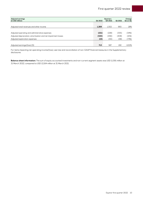| <b>Adjusted earnings</b><br>(in USD million)                  | Q1 2022 | Quarters<br>Q4 2021 | Q1 2021 | Change<br>$Q1$ on $Q1$ |
|---------------------------------------------------------------|---------|---------------------|---------|------------------------|
|                                                               |         |                     |         |                        |
| Adjusted total revenues and other income                      | 1.269   | 1.302               | 993     | 28%                    |
|                                                               |         |                     |         |                        |
| Adjusted operating and administrative expenses                | (221)   | (228)               | (335)   | (34%)                  |
| Adjusted depreciation, amortisation and net impairment losses | (320)   | (456)               | (408)   | (21%)                  |
| Adjusted exploration expenses                                 | (15)    | (30)                | (58)    | (73%)                  |
|                                                               |         |                     |         |                        |
| Adjusted earnings/(loss) [5]                                  | 713     | 587                 | 192     | >100%                  |

For items impacting net operating income/(loss), see Use and reconciliation of non-GAAP financial measures in the Supplementary disclosures.

**Balance sheet information:** The sum of equity accounted investments and non-current segment assets was USD 11,591 million at 31 March 2022, compared to USD 12,164 million at 31 March 2021.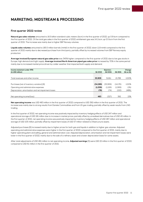### **MARKETING, MIDSTREAM & PROCESSING**

#### **First quarter 2022 review**

**Natural gas sales volumes** amounted to 16.5 billion standard cubic meters (bcm) in the first quarter of 2022, up 0.9 bcm compared to the first quarter of 2021. Of the total gas sales in the first quarter of 2022, entitlement gas was 14.1 bcm, up 0.5 bcm from the first quarter of 2021. The increase was mainly due to higher E&P Norway volumes.

**Liquids sales volumes** amounted to 185.5 million barrels (mmbl) in the first quarter of 2022, down 11.8 mmbl compared to the first quarter of 2021 mainly due to decreased purchase from third party, partially offset by increased volumes from E&P Norway equity production.

**Average invoiced European natural gas sales price** was 345% higher compared to the first quarter of 2021 due to low gas stocks in Europe, high demand and tight supply. **Average invoiced North American piped gas sales price** increased by 70% in the same period mainly due to increased market price driven by colder weather that impacted both supply and demand.

| Income statement under IFRS                          |           | Quarters |          | Change   |
|------------------------------------------------------|-----------|----------|----------|----------|
| (in USD million)                                     | Q1 2022   | Q4 2021  | Q1 2021  | Q1 on Q1 |
|                                                      |           |          |          |          |
| Total revenues and other income                      | 35,909    | 31.811   | 15,789   | >100%    |
|                                                      |           |          |          |          |
| Purchases [net of inventory variation] [6]           | (34, 289) | (30,959) | (14,176) | >100%    |
| Operating and administrative expenses                | (1,059)   | (1,106)  | (1,069)  | (1%)     |
| Depreciation, amortisation and net impairment losses | (78)      | (74)     | (152)    | (48%)    |
|                                                      |           |          |          |          |
| Net operating income/(loss)                          | 483       | (327)    | 392      | 23%      |

**Net operating income** was USD 483 million in the first quarter of 2022 compared to USD 392 million in the first quarter of 2021. The increase was mainly due to strong results from Danske Commodities and from US gas trading, partially offset by weak results from LNG trading.

In the first quarter of 2022, net operating income was positively impacted by inventory hedging effects of USD 247 million and operational storage of USD 181 million due to increase in market prices, partially offset by unrealised derivatives loss of USD 45 million. In the first quarter of 2021, net operating income was positively impacted by inventory hedging effects of USD 287 million and operational storage of USD 105 million, partially offset by impairment losses of USD 57 million related to infastructure assets.

Adjusted purchases [6] increased mainly due to higher prices for both gas and liquids in addition to higher gas volumes. Adjusted operating and administrative expenses were higher in the first quarter of 2022 compared to the first quarter of 2021, mainly due to higher operating plant and selling, general and administration cost. Adjusted depreciation, amortisation and net impairment losses were lower in the first quarter of 2022, mainly due to the sale of a refinery asset and a lower depreciation basis for some assets.

After total adjustments of USD 461 million to net operating income, **Adjusted earnings** [5] were USD 22 million in the first quarter of 2022, compared to USD 61 million in the first quarter of 2021.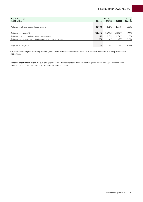| Adjusted earnings<br>(in USD million)                         | Q1 2022   | Quarters<br>Q4 2021 | Q1 2021  | Change<br>Q1 on Q1 |
|---------------------------------------------------------------|-----------|---------------------|----------|--------------------|
|                                                               |           |                     |          |                    |
| Adjusted total revenues and other income                      | 35,708    | 31,171              | 15,518   | >100%              |
|                                                               |           |                     |          |                    |
| Adjusted purchases [6]                                        | (34, 470) | (30.956)            | (14,281) | >100%              |
| Adjusted operating and administrative expenses                | (1, 137)  | (1,139)             | (1,081)  | 5%                 |
| Adjusted depreciation, amortisation and net impairment losses | (78)      | (82)                | (95)     | (17%)              |
|                                                               |           |                     |          |                    |
| Adjusted earnings [5]                                         | 22        | (1,007)             | 61       | (65%)              |

For items impacting net operating income/(loss), see Use and reconciliation of non-GAAP financial measures in the Supplementary disclosures.

**Balance sheet information:** The sum of equity accounted investments and non-current segment assets was USD 2,967 million at 31 March 2022, compared to USD 4,143 million at 31 March 2021.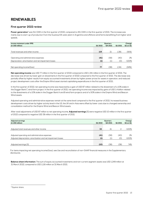### **RENEWABLES**

#### **First quarter 2022 review**

Power generation<sup>3</sup> was 511 GWh in the first quarter of 2022, compared to 451 GWh in the first quarter of 2021. The increase was mainly due to start-up of production from the Guanizuil IIA solar plant in Argentina and offshore wind farms benefitting from higher wind speeds.

| Income statement under IFRS                          | Quarters |         |         | Change       |  |  |
|------------------------------------------------------|----------|---------|---------|--------------|--|--|
| (in USD million)                                     | Q1 2022  | Q4 2021 | Q1 2021 | $Q1$ on $Q1$ |  |  |
|                                                      |          |         |         |              |  |  |
| Total revenues and other income                      | 119      | 21      | 1,381   | (91%)        |  |  |
|                                                      |          |         |         |              |  |  |
| Operating and administrative expenses                | (41)     | (58)    | (40)    | 2%           |  |  |
| Depreciation, amortisation and net impairment losses | (1)      | (1)     | (0)     | $>100\%$     |  |  |
|                                                      |          |         |         |              |  |  |
| Net operating income/(loss)                          | 77       | (38)    | 1.341   | (94%)        |  |  |

**Net operating income** was USD 77 million in the first quarter of 2022 compared to USD 1,341 million in the first quarter of 2021. The decrease was driven by lower gain on divestments in the first quarter of 2022 compared to the first quarter of 2021. The decrease was partially offset by higher results from equity accounted investments driven by higher power prices for assets in operation, and reduced project development costs after the Empire Wind asset started capitalising expenditures in the first quarter of 2021.

In the first quarter of 2022, net operating income was impacted by a gain of USD 87 million related to the divestment of a 10% stake in the Dogger Bank C wind farm project. In the first quarter of 2021, net operating income was impacted by gains of USD 1.4 billion related to the divestments of a 10% stake in the Dogger Bank A and B wind farm projects and of a 50% stake in the Empire Wind and Beacon Wind assets.

Adjusted operating and administrative expenses remain at the same level compared to the first quarter of 2021. Increased business development costs driven by higher activity level in the US, the UK and in Asia were offset by lower costs due to changed ownership and consolidation method for the Empire Wind and Beacon Wind assets.

After total adjustments of USD 87 million to net operating income, **Adjusted earnings** [5] were negative USD 10 million in the first quarter of 2022 compared to negative USD 38 million in the first quarter of 2021.

| Adjusted earnings<br>(in USD million)                         | Q1 2022 | Quarters<br>Q4 2021 | Q1 2021 | Change<br>Q1 on Q1 |
|---------------------------------------------------------------|---------|---------------------|---------|--------------------|
|                                                               |         |                     |         |                    |
|                                                               |         |                     |         |                    |
| Adjusted total revenues and other income                      | 32      | 21                  |         | >100%              |
|                                                               |         |                     |         |                    |
| Adjusted operating and administrative expenses                | (41)    | (58)                | (40)    | 2%                 |
| Adjusted depreciation, amortisation and net impairment losses | (1)     | (1)                 | (0)     | >100%              |
|                                                               |         |                     |         |                    |
| Adjusted earnings [5]                                         | (10)    | (38)                | (38)    | 74%                |

For items impacting net operating income/(loss), see Use and reconciliation of non-GAAP financial measures in the Supplementary disclosures.

**Balance sheet information:** The sum of equity accounted investments and non-current segment assets was USD 1,249 million at 31 March 2022, compared to USD 1,116 million at 31 March 2021.

<sup>&</sup>lt;sup>3</sup> Equinor share.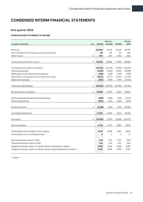### **CONDENSED INTERIM FINANCIAL STATEMENTS**

#### **First quarter 2022**

#### **CONSOLIDATED STATEMENT OF INCOME**

|                                                                              |              | Quarters       |              | Full year     |
|------------------------------------------------------------------------------|--------------|----------------|--------------|---------------|
| Note<br>(unaudited, in USD million)                                          | Q1 2022      | Q4 2021        | Q1 2021      | 2021*         |
|                                                                              |              |                |              |               |
| Revenues                                                                     | 36,050<br>99 | 32,125<br>138  | 16,129<br>30 | 88,744<br>259 |
| Net income/(loss) from equity accounted investments<br>3                     | 244          | 345            | 1,431        | 1,921         |
| Other income                                                                 |              |                |              |               |
| $\overline{2}$<br>Total revenues and other income                            | 36,393       | 32,608         | 17,589       | 90,924        |
|                                                                              |              |                |              |               |
| Purchases [net of inventory variation]                                       | (13, 510)    | (11, 543)      | (7,166)      | (35,160)      |
| Operating expenses                                                           | (1,989)      | (2,281)        | (1,941)      | (8,598)       |
| Selling, general and administrative expenses                                 | (282)        | (222)          | (218)        | (780)         |
| 6<br>Depreciation, amortisation and net impairment losses                    | (2,017)      | (4,777)        | (2,797)      | (11, 719)     |
| <b>Exploration expenses</b>                                                  | (203)        | (206)          | (247)        | (1,004)       |
|                                                                              |              |                |              |               |
| Total operating expenses<br>2                                                | (18,001)     | (19,030)       | (12,369)     | (57,261)      |
|                                                                              |              |                |              |               |
| 2<br>Net operating income/(loss)                                             | 18,392       | 13,578         | 5,220        | 33,663        |
|                                                                              |              |                |              |               |
| Interest expenses and other financial expenses                               | (266)        | (299)          | (312)        | (1,223)       |
| Other financial items                                                        | (903)        | (143)          | (396)        | (857)         |
|                                                                              |              |                |              |               |
| Net financial items<br>4                                                     | (1,169)      | (443)          | (707)        | (2,080)       |
|                                                                              |              |                |              |               |
| Income/(loss) before tax                                                     | 17,223       | 13,135         | 4,513        | 31,583        |
|                                                                              |              |                |              |               |
| 5<br>Income tax                                                              | (12,509)     | (9,765)        | (2,659)      | (23,007)      |
|                                                                              |              |                |              |               |
| Net income/(loss)                                                            | 4,714        | 3,370          | 1,854        | 8,576         |
|                                                                              |              |                |              |               |
| Attributable to equity holders of the company                                | 4,710        | 3.368          | 1,851        | 8.563         |
| Attributable to non-controlling interests                                    | 4            | $\overline{2}$ | 3            | 14            |
|                                                                              |              |                |              |               |
| Basic earnings per share (in USD)                                            | 1.46         | 1.04           | 0.57         | 2.64          |
| Diluted earnings per share (in USD)                                          | 1.46         | 1.04           | 0.57         | 2.63          |
| Weighted average number of ordinary shares outstanding (in millions)         | 3,228        | 3,238          | 3,248        | 3,245         |
| Weighted average number of ordinary shares outstanding diluted (in millions) | 3,237        | 3,249          | 3,256        | 3,254         |

\* Audited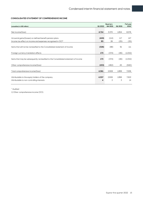#### **CONSOLIDATED STATEMENT OF COMPREHENSIVE INCOME**

| (unaudited, in USD million)                                                         | Q1 2022 | Quarters<br>Q4 2021 | Q1 2021 | Full year<br>2021* |
|-------------------------------------------------------------------------------------|---------|---------------------|---------|--------------------|
|                                                                                     |         |                     |         |                    |
| Net income/(loss)                                                                   | 4,714   | 3,370               | 1,854   | 8,576              |
|                                                                                     |         |                     |         |                    |
| Actuarial gains/(losses) on defined benefit pension plans                           | (419)   | (114)               | 117     | 147                |
| Income tax effect on income and expenses recognised in OCI <sup>1)</sup>            | 93      | 26                  | (25)    | (35)               |
|                                                                                     |         |                     |         |                    |
| Items that will not be reclassified to the Consolidated statement of income         | (326)   | (88)                | 91      | 111                |
|                                                                                     |         |                     |         |                    |
| Foreign currency translation effects                                                | 173     | (374)               | (46)    | (1,052)            |
|                                                                                     |         |                     |         |                    |
| Items that may be subsequently reclassified to the Consolidated statement of income | 173     | (374)               | (46)    | (1,052)            |
|                                                                                     |         |                     |         |                    |
| Other comprehensive income/(loss)                                                   | (153)   | (462)               | 45      | (940)              |
|                                                                                     |         |                     |         |                    |
| Total comprehensive income/(loss)                                                   | 4,561   | 2,908               | 1,899   | 7,636              |
|                                                                                     |         |                     |         |                    |
| Attributable to the equity holders of the company                                   | 4,557   | 2,906               | 1,896   | 7,622              |
| Attributable to non-controlling interests                                           | 4       | 2                   | 3       | 14                 |
|                                                                                     |         |                     |         |                    |

\* Audited

1) Other comprehensive income (OCI).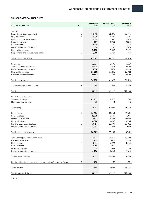#### **CONSOLIDATED BALANCE SHEET**

| <b>ASSETS</b><br>6<br>62,475<br>62,075<br>Property, plant and equipment<br>6<br>5,725<br>6,452<br>Intangible assets<br>Equity accounted investments<br>1,710<br>2,686<br>Deferred tax assets<br>7,097<br>6,259<br>1,218<br>1,449<br>Pension assets<br>728<br>1,265<br>Derivative financial instruments<br>3,300<br>3,346<br>Financial investments<br>1,089<br>1,087<br>Prepayments and financial receivables<br>7<br>83,342<br>84,618<br>Total non-current assets<br>3,504<br>3,395<br>Inventories<br>Trade and other receivables<br>19,938<br>17,927<br>6,776<br>5,131<br>Derivative financial instruments<br>21.246<br><b>Financial investments</b><br>23,689<br>20,882<br>14,126<br>Cash and cash equivalents | At 31 March<br>2021 |  |
|------------------------------------------------------------------------------------------------------------------------------------------------------------------------------------------------------------------------------------------------------------------------------------------------------------------------------------------------------------------------------------------------------------------------------------------------------------------------------------------------------------------------------------------------------------------------------------------------------------------------------------------------------------------------------------------------------------------|---------------------|--|
|                                                                                                                                                                                                                                                                                                                                                                                                                                                                                                                                                                                                                                                                                                                  |                     |  |
|                                                                                                                                                                                                                                                                                                                                                                                                                                                                                                                                                                                                                                                                                                                  | 65,405              |  |
|                                                                                                                                                                                                                                                                                                                                                                                                                                                                                                                                                                                                                                                                                                                  | 8,151               |  |
|                                                                                                                                                                                                                                                                                                                                                                                                                                                                                                                                                                                                                                                                                                                  | 2,374               |  |
|                                                                                                                                                                                                                                                                                                                                                                                                                                                                                                                                                                                                                                                                                                                  | 4,880               |  |
|                                                                                                                                                                                                                                                                                                                                                                                                                                                                                                                                                                                                                                                                                                                  | 1,437               |  |
|                                                                                                                                                                                                                                                                                                                                                                                                                                                                                                                                                                                                                                                                                                                  | 1,573               |  |
|                                                                                                                                                                                                                                                                                                                                                                                                                                                                                                                                                                                                                                                                                                                  | 3,922               |  |
|                                                                                                                                                                                                                                                                                                                                                                                                                                                                                                                                                                                                                                                                                                                  | 774                 |  |
|                                                                                                                                                                                                                                                                                                                                                                                                                                                                                                                                                                                                                                                                                                                  |                     |  |
|                                                                                                                                                                                                                                                                                                                                                                                                                                                                                                                                                                                                                                                                                                                  | 88,516              |  |
|                                                                                                                                                                                                                                                                                                                                                                                                                                                                                                                                                                                                                                                                                                                  | 2,917               |  |
|                                                                                                                                                                                                                                                                                                                                                                                                                                                                                                                                                                                                                                                                                                                  | 8,692               |  |
|                                                                                                                                                                                                                                                                                                                                                                                                                                                                                                                                                                                                                                                                                                                  | 1,096               |  |
|                                                                                                                                                                                                                                                                                                                                                                                                                                                                                                                                                                                                                                                                                                                  | 10,922              |  |
|                                                                                                                                                                                                                                                                                                                                                                                                                                                                                                                                                                                                                                                                                                                  | 8,992               |  |
|                                                                                                                                                                                                                                                                                                                                                                                                                                                                                                                                                                                                                                                                                                                  |                     |  |
| 74,790<br>61,826<br>Total current assets                                                                                                                                                                                                                                                                                                                                                                                                                                                                                                                                                                                                                                                                         | 32,619              |  |
|                                                                                                                                                                                                                                                                                                                                                                                                                                                                                                                                                                                                                                                                                                                  |                     |  |
| 3<br>Assets classified as held for sale<br>788<br>676                                                                                                                                                                                                                                                                                                                                                                                                                                                                                                                                                                                                                                                            | 1,100               |  |
| 158,919<br>147,120<br>Total assets                                                                                                                                                                                                                                                                                                                                                                                                                                                                                                                                                                                                                                                                               | 122,235             |  |
|                                                                                                                                                                                                                                                                                                                                                                                                                                                                                                                                                                                                                                                                                                                  |                     |  |
| <b>EQUITY AND LIABILITIES</b>                                                                                                                                                                                                                                                                                                                                                                                                                                                                                                                                                                                                                                                                                    |                     |  |
| 39,010<br>43,233<br>Shareholders' equity                                                                                                                                                                                                                                                                                                                                                                                                                                                                                                                                                                                                                                                                         | 35,764              |  |
| 19<br>Non-controlling interests<br>14                                                                                                                                                                                                                                                                                                                                                                                                                                                                                                                                                                                                                                                                            | 18                  |  |
| 39,024<br>43,251<br>Total equity                                                                                                                                                                                                                                                                                                                                                                                                                                                                                                                                                                                                                                                                                 | 35,782              |  |
|                                                                                                                                                                                                                                                                                                                                                                                                                                                                                                                                                                                                                                                                                                                  |                     |  |
| $\overline{4}$<br>24,984<br>27,404<br>Finance debt                                                                                                                                                                                                                                                                                                                                                                                                                                                                                                                                                                                                                                                               | 27,991              |  |
| Lease liabilities<br>2,509<br>2,449                                                                                                                                                                                                                                                                                                                                                                                                                                                                                                                                                                                                                                                                              | 3,006               |  |
| Deferred tax liabilities<br>14,421<br>14,037                                                                                                                                                                                                                                                                                                                                                                                                                                                                                                                                                                                                                                                                     | 11,440              |  |
| Pension liabilities<br>4,586<br>4,403                                                                                                                                                                                                                                                                                                                                                                                                                                                                                                                                                                                                                                                                            | 4,363               |  |
| $7\overline{ }$<br>19,899<br>Provisions and other liabilities<br>18,414                                                                                                                                                                                                                                                                                                                                                                                                                                                                                                                                                                                                                                          | 20,061              |  |
| 767<br>1,093<br>Derivative financial instruments                                                                                                                                                                                                                                                                                                                                                                                                                                                                                                                                                                                                                                                                 | 550                 |  |
| 66,007<br>68,959<br>Total non-current liabilities                                                                                                                                                                                                                                                                                                                                                                                                                                                                                                                                                                                                                                                                | 67,411              |  |
|                                                                                                                                                                                                                                                                                                                                                                                                                                                                                                                                                                                                                                                                                                                  |                     |  |
| Trade, other payables and provisions<br>14,372<br>14,310                                                                                                                                                                                                                                                                                                                                                                                                                                                                                                                                                                                                                                                         | 10,592              |  |
| 5<br>21,955<br>Current tax payable<br>13,119                                                                                                                                                                                                                                                                                                                                                                                                                                                                                                                                                                                                                                                                     | 3,249               |  |
| Finance debt<br>5,481<br>5,273<br>$\overline{4}$                                                                                                                                                                                                                                                                                                                                                                                                                                                                                                                                                                                                                                                                 | 2,784               |  |
| Lease liabilities<br>1,168<br>1,113                                                                                                                                                                                                                                                                                                                                                                                                                                                                                                                                                                                                                                                                              | 1,131               |  |
| 582<br>Dividends payable<br>$\circ$                                                                                                                                                                                                                                                                                                                                                                                                                                                                                                                                                                                                                                                                              | $\circ$             |  |
| 6,236<br>4,609<br>Derivative financial instruments                                                                                                                                                                                                                                                                                                                                                                                                                                                                                                                                                                                                                                                               | 1,014               |  |
| 49,212<br>39,005<br>Total current liabilities                                                                                                                                                                                                                                                                                                                                                                                                                                                                                                                                                                                                                                                                    | 18,770              |  |
| Liabilities directly associated with the assets classified as held for sale<br>3<br>450<br>132                                                                                                                                                                                                                                                                                                                                                                                                                                                                                                                                                                                                                   | 271                 |  |
| <b>Total liabilities</b><br>115,668<br>108,096                                                                                                                                                                                                                                                                                                                                                                                                                                                                                                                                                                                                                                                                   | 86,453              |  |
| Total equity and liabilities<br>158,919<br>147,120                                                                                                                                                                                                                                                                                                                                                                                                                                                                                                                                                                                                                                                               | 122,235             |  |

\* Audited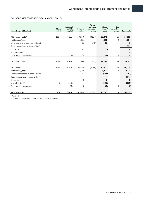#### **CONSOLIDATED STATEMENT OF CHANGES IN EQUITY**

| (unaudited, in USD million)       | Share<br>capital | <b>Additional</b><br>paid-in<br>capital | Retained<br>earnings | Foreign<br>currency<br>translation<br>reserve | Share-<br>holders'<br>equity | Non-<br>controlling<br>interests | <b>Total equity</b> |
|-----------------------------------|------------------|-----------------------------------------|----------------------|-----------------------------------------------|------------------------------|----------------------------------|---------------------|
|                                   |                  |                                         |                      |                                               |                              |                                  |                     |
| At 1 January 2021*                | 1.164            | 6.852                                   | 30.050               | (4,194)                                       | 33,873                       | 19                               | 33,892              |
| Net income/(loss)                 |                  |                                         | 1.851                |                                               | 1.851                        | 3                                | 1.854               |
| Other comprehensive income/(loss) |                  |                                         | 91                   | (46)                                          | 45                           |                                  | 45                  |
| Total comprehensive income/(loss) |                  |                                         |                      |                                               |                              |                                  | 1,899               |
| Dividends                         |                  |                                         | (0)                  |                                               | (0)                          |                                  | (0)                 |
| Share buy-back                    | $\Omega$         | $\Omega$                                |                      |                                               | 0                            |                                  | $\Omega$            |
| Other equity transactions         |                  | (4)                                     | $\circ$              |                                               | (4)                          | (4)                              | (8)                 |
|                                   |                  |                                         |                      |                                               |                              |                                  |                     |
| At 31 March 2021                  | 1.164            | 6.848                                   | 31.992               | (4,240)                                       | 35,764                       | 18                               | 35,782              |
|                                   |                  |                                         |                      |                                               |                              |                                  |                     |
| At 1 January 2022*                | 1.164            | 6.408                                   | 36.683               | (5,245)                                       | 39,010                       | 14                               | 39,024              |
| Net income/(loss)                 |                  |                                         | 4.710                |                                               | 4.710                        | 4                                | 4.714               |
| Other comprehensive income/(loss) |                  |                                         | (326)                | 173                                           | (153)                        |                                  | (153)               |
| Total comprehensive income/(loss) |                  |                                         |                      |                                               |                              |                                  | 4,561               |
| Dividends                         |                  |                                         | $\circ$              |                                               | O                            |                                  | $\circ$             |
| Share buy-back <sup>1)</sup>      | $\circ$          | (330)                                   |                      |                                               | (330)                        |                                  | (330)               |
| Other equity transactions         |                  | (4)                                     | $\circ$              |                                               | (3)                          | $\circ$                          | (3)                 |
|                                   |                  |                                         |                      |                                               |                              |                                  |                     |
| At 31 March 2022                  | 1.164            | 6,074                                   | 41,068               | (5,073)                                       | 43,233                       | 19                               | 43,251              |

\* Audited

1) For more information see note 8 Capital distribution.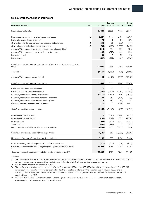#### **CONSOLIDATED STATEMENT OF CASH FLOWS**

| (unaudited, in USD million)<br>Note<br>Q4 2021<br>Q1 2022<br>Q1 2021<br>2021*<br>31,583<br>Income/(loss) before tax<br>17,223<br>13,135<br>4,513<br>6<br>4,777<br>2,797<br>2,017<br>11,719<br>Depreciation, amortisation and net impairment losses<br>$\overline{2}$<br>64<br>Exploration expenditures written off<br>73<br>171 |
|---------------------------------------------------------------------------------------------------------------------------------------------------------------------------------------------------------------------------------------------------------------------------------------------------------------------------------|
|                                                                                                                                                                                                                                                                                                                                 |
|                                                                                                                                                                                                                                                                                                                                 |
|                                                                                                                                                                                                                                                                                                                                 |
|                                                                                                                                                                                                                                                                                                                                 |
|                                                                                                                                                                                                                                                                                                                                 |
| 68<br>284<br>(70)<br>(47)<br>(Gains)/losses on foreign currency transactions and balances<br>$\overline{4}$                                                                                                                                                                                                                     |
| (Gains)/losses on sale of assets and businesses<br>3<br>(89)<br>(156)<br>(1,383)<br>(1, 519)                                                                                                                                                                                                                                    |
| (300)<br>684<br>222<br>106<br>(Increase)/decrease in other items related to operating activities <sup>1)</sup>                                                                                                                                                                                                                  |
| 577<br>953<br>539<br>(Increase)/decrease in net derivative financial instruments<br>(315)                                                                                                                                                                                                                                       |
| 5<br>39<br>11<br>96<br>Interest received                                                                                                                                                                                                                                                                                        |
| (118)<br>(212)<br>(698)<br>(141)<br>Interest paid                                                                                                                                                                                                                                                                               |
|                                                                                                                                                                                                                                                                                                                                 |
| Cash flows provided by operating activities before taxes paid and working capital                                                                                                                                                                                                                                               |
| 41,950<br>20,055<br>17,988<br>6,617<br>items                                                                                                                                                                                                                                                                                    |
|                                                                                                                                                                                                                                                                                                                                 |
| (8,588)<br>Taxes paid<br>(4,307)<br>(6,658)<br>(84)                                                                                                                                                                                                                                                                             |
| (3,180)<br>(549)<br>(4,546)<br>(Increase)/decrease in working capital<br>23                                                                                                                                                                                                                                                     |
|                                                                                                                                                                                                                                                                                                                                 |
| 15,771<br>8,151<br>5,984<br>Cash flows provided by operating activities<br>28,816                                                                                                                                                                                                                                               |
|                                                                                                                                                                                                                                                                                                                                 |
| Cash used in business combinations <sup>2)</sup><br>0<br>O<br>O<br>(111)                                                                                                                                                                                                                                                        |
| (8,040)<br>Capital expenditures and investments <sup>3)</sup><br>(2, 182)<br>(2,225)<br>(2,151)                                                                                                                                                                                                                                 |
| 699<br>(Increase)/decrease in financial investments<br>(2,850)<br>(6,387)<br>(9,951)                                                                                                                                                                                                                                            |
| 424<br>(Increase)/decrease in derivative financial instruments<br>151<br>(305)<br>(1)                                                                                                                                                                                                                                           |
| 189<br>4<br>(3)<br>28<br>(Increase)/decrease in other interest-bearing items                                                                                                                                                                                                                                                    |
| Proceeds from sale of assets and businesses<br>3<br>72<br>140<br>1,146<br>1,864                                                                                                                                                                                                                                                 |
|                                                                                                                                                                                                                                                                                                                                 |
| Cash flows used in investing activities<br>(4, 465)<br>(8,200)<br>(613)<br>(16,211)                                                                                                                                                                                                                                             |
|                                                                                                                                                                                                                                                                                                                                 |
| o<br>(1,250)<br>(2,675)<br>Repayment of finance debt<br>(1,424)                                                                                                                                                                                                                                                                 |
| Repayment of lease liabilities<br>(319)<br>(1,238)<br>(317)<br>(302)                                                                                                                                                                                                                                                            |
| Dividends paid<br>(1,797)<br>(582)<br>(565)<br>(355)                                                                                                                                                                                                                                                                            |
| (439)<br>(222)<br>0<br>(321)<br>Share buy-back<br>(2,804)<br>2,713<br>(1,015)<br>Net current finance debt and other financing activities                                                                                                                                                                                        |
| 1,195                                                                                                                                                                                                                                                                                                                           |
| (4, 142)<br>Cash flows provided by/(used in) financing activities<br>357<br>(3,096)<br>(4,836)                                                                                                                                                                                                                                  |
|                                                                                                                                                                                                                                                                                                                                 |
| 7,165<br>2,274<br>Net increase/(decrease) in cash and cash equivalents<br>307<br>7,768                                                                                                                                                                                                                                          |
|                                                                                                                                                                                                                                                                                                                                 |
| Effect of exchange rate changes on cash and cash equivalents<br>(270)<br>(106)<br>(174)<br>(538)                                                                                                                                                                                                                                |
| Cash and cash equivalents at the beginning of the period (net of overdraft)<br>13,987<br>13,785<br>6,757<br>6,757                                                                                                                                                                                                               |
| Cash and cash equivalents at the end of the period (net of overdraft) <sup>4)</sup><br>20,882<br>13,987<br>13,987<br>8,857                                                                                                                                                                                                      |

\* Audited

1) The line Increase (decrease) in other items related to operating activities included payment of USD 189 million which represent the accretion related to the payment of the acquisition and disposal of the interests in the Bacalhau field as described below.

2) Net after cash and cash equivalents acquired.

3) The line Capital expenditures and investments for the first quarter 2022 includes USD 336 million which represents the net of an USD 769 million payment of a contingent consideration related to the acquisition of interests in the Bacalhau field in 2016 and 2017, and a corresponding receipt of USD 433 million for the simultaneous payment of contingent consideration related to disposal of parts of the acquired interests in 2018.

4) At 31 March 2022 and 31 March 2021 cash and cash equivalents net overdraft were zero. At 31 December 2021 cash and cash equivalents included a net overdraft of USD 140 million.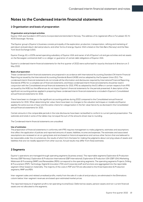### **Notes to the Condensed interim financial statements**

#### **1 Organisation and basis of preparation**

#### **Organisation and principal activities**

Equinor ASA was founded in 1972 and is incorporated and domiciled in Norway. The address of its registered office is Forusbeen 50, N-4035 Stavanger, Norway.

The Equinor group's (Equinor's) business consists principally of the exploration, production, transportation, refining and marketing of petroleum and petroleum-derived products, and other forms of energy. Equinor ASA is listed on the Oslo Børs (Norway) and the New York Stock Exchange (USA).

Equinor Energy AS, a 100% owned operating subsidiary of Equinor ASA and owner of all of Equinor's oil and gas activities and net assets on the Norwegian continental shelf, is co-obligor or guarantor of certain debt obligations of Equinor ASA.

Equinor's condensed interim financial statements for the first quarter of 2022 were authorised for issue by the board of directors on 3 May 2022.

#### **Basis of preparation**

These condensed interim financial statements are prepared in accordance with International Accounting Standard 34 Interim Financial Reporting as issued by the International Accounting Standards Board (IASB) and as adopted by the European Union (EU). The condensed interim financial statements do not include all the information and disclosures required by International Financial Reporting Standards (IFRS) for a complete set of financial statements, and these condensed interim financial statements should be read in conjunction with the Consolidated annual financial statements for 2021. IFRS as adopted by the EU differs in certain respects from IFRS as issued by the IASB, but the differences do not impact Equinor's financial statements for the periods presented. A description of the significant accounting policies applied in preparing these condensed interim financial statements is included in Equinor's Consolidated annual financial statements for 2021.

There have been no changes to the significant accounting policies during 2022 compared to the Consolidated annual financial statements for 2021. When determining fair value, there have been no changes to the valuation techniques or models and Equinor applies the same sources of input and the same criteria for categorisation in the fair value hierarchy as disclosed in the Consolidated annual financial statements for 2021.

Certain amounts in the comparable periods in the note disclosures have been reclassified to conform to current period presentation. The subtotals and totals in some of the tables may not equal the sum of the amounts shown due to rounding.

The Condensed interim financial statements are unaudited.

#### **Use of estimates**

The preparation of financial statements in conformity with IFRS requires management to make judgments, estimates and assumptions that affect the application of policies and reported amounts of assets, liabilities, income and expenses. The estimates and associated assumptions are reviewed on an on-going basis and are based on historical experience and various other factors that are believed to be reasonable under the circumstances, the results of which form the basis for making the judgments about carrying values of assets and liabilities that are not readily apparent from other sources. Actual results may differ from these estimates.

#### **2 Segments**

Equinor's operations are managed through operating segments (business areas). The reportable segments Exploration & Production Norway (E&P Norway), Exploration & Production International (E&P International), Exploration & Production USA (E&P USA) Marketing, Midstream & Processing (MMP) and Renewables (REN) correspond to the operating segments. The operating segments Projects, Drilling & Procurement (PDP), Technology, Digital & Innovation (TDI) and Corporate staff and functions are aggregated into the reportable segment Other based on materiality. The majority of the costs in PDP and TDI are allocated to the three Exploration & Production segments, MMP and REN.

Inter-segment sales and related unrealised profits, mainly from the sale of crude oil and products, are eliminated in the Eliminations column below. Inter-segment revenues are based upon estimated market prices.

The reported measure of segment profit is net operating income/(loss)*.* Deferred tax assets, pension assets and non-current financial assets are not allocated to the segments.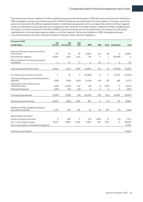The measurement basis for segments is IFRS as applied by the group with the exception of IFRS 16 Leases and the line item Additions to PP&E, intangibles and equity accounted investments. All IFRS 16 leases are presented within the Other segment. The lease costs for the period are allocated to the different segments based on underlying lease payments, with a corresponding credit in the Other segment. Lease costs allocated to licence partners are recognised as other revenues in the Other segment. Additions to PP&E, intangible assets and equity accounted investments in the E&P and MMP segments include the period's allocated lease costs related to activity being capitalised with a corresponding negative addition in the Other segment. The line item Additions to PP&E, intangibles and equity accounted investments excludes movements related to changes in asset retirement obligations.

| First quarter 2022                                                 | E&P     | E&P           | E&P        |            |            |       |                     |           |
|--------------------------------------------------------------------|---------|---------------|------------|------------|------------|-------|---------------------|-----------|
| (in USD million)                                                   | Norway  | International | <b>USA</b> | <b>MMP</b> | <b>REN</b> | Other | <b>Eliminations</b> | Total     |
|                                                                    |         |               |            |            |            |       |                     |           |
| Revenues third party, other revenue and<br>other income            | 179     | 61            | 78         | 35.818     | 90         | 69    | $\Omega$            | 36.294    |
| Revenues inter-segment                                             | 18.245  | 1.324         | 1.191      | 89         | $\Omega$   | 1     | (20, 849)           | $\Omega$  |
| Net income/(loss) from equity accounted<br>investments             | 0       | 67            | 0          | 3          | 29         | 0     | $\circ$             | 99        |
|                                                                    |         |               |            |            |            |       |                     |           |
| Total revenues and other income                                    | 18,424  | 1,452         | 1,269      | 35,909     | 119        | 70    | (20, 849)           | 36,393    |
| Purchases [net of inventory variation]                             | O       | 27            | 0          | (34, 289)  | $\circ$    | 0     | 20,752              | (13, 510) |
| Operating, selling, general and administrative<br>expenses         | (838)   | (399)         | (220)      | (1,059)    | (41)       | 99    | 188                 | (2,271)   |
| Depreciation, amortisation and net<br>impairment losses            | (546)   | (1,365)       | 212        | (78)       | (1)        | (240) | $\circ$             | (2,017)   |
| <b>Exploration expenses</b>                                        | (106)   | (81)          | (16)       | 0          | O          | O     | 0                   | (203)     |
| Total operating expenses                                           | (1,490) | (1,818)       | (24)       | (35, 427)  | (41)       | (141) | 20,940              | (18,001)  |
| Net operating income/(loss)                                        | 16.934  | (366)         | 1,245      | 483        | 77         | (71)  | 90                  | 18,392    |
| Additions to PP&E, intangibles and equity<br>accounted investments | 1.132   | 478           | 126        | 51         | 43         | 358   | (0)                 | 2.188     |
| Balance sheet information                                          |         |               |            |            |            |       |                     |           |
| Equity accounted investments                                       | 3       | 458           | O          | 115        | 1.086      | 47    | (0)                 | 1.710     |
| Non-current segment assets                                         | 35,197  | 14,986        | 11,591     | 2.852      | 163        | 3,411 | $\circ$             | 68,200    |
| Non-current assets not allocated to segments                       |         |               |            |            |            |       |                     | 13,432    |
| Total non-current assets                                           |         |               |            |            |            |       |                     | 83,342    |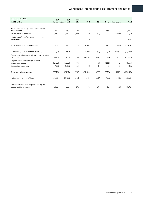| Total<br>32.470<br>(0) |
|------------------------|
|                        |
|                        |
|                        |
|                        |
| 138                    |
| 32,608                 |
|                        |
| (11, 543)              |
| (2,504)                |
| (4,777)                |
| (206)                  |
| (19,030)               |
| 13,578                 |
| 2,243                  |
|                        |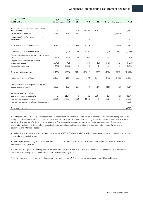| First quarter 2021                                         | E&P     | E&P                  | E&P        |            |            |       |              |          |
|------------------------------------------------------------|---------|----------------------|------------|------------|------------|-------|--------------|----------|
| (in USD million)                                           |         | Norway International | <b>USA</b> | <b>MMP</b> | <b>REN</b> | Other | Eliminations | Total    |
|                                                            |         |                      |            |            |            |       |              |          |
| Revenues third party, other revenue and                    |         |                      |            |            |            |       |              |          |
| other income                                               | 28      | 221                  | 121        | 15.697     | 1.382      | 111   | $\circ$      | 17,559   |
| Revenues inter-segment                                     | 5.755   | 805                  | 872        | 84         | O          | 1     | (7.517)      | $\Omega$ |
| Net income/(loss) from equity accounted                    |         |                      |            |            |            |       |              |          |
| investments                                                | 0       | 23                   | $\circ$    | 8          | (1)        | O     | 0            | 30       |
| Total revenues and other income                            | 5,783   | 1,049                | 993        | 15,789     | 1,381      | 111   | (7, 517)     | 17,589   |
|                                                            |         |                      |            |            |            |       |              |          |
| Purchases [net of inventory variation]                     | $\circ$ | (29)                 | (0)        | (14,176)   | 0          | (0)   | 7.040        | (7,166)  |
| Operating, selling, general and administrative<br>expenses | (794)   | (252)                | (335)      | (1,069)    | (40)       | 54    | 277          | (2,160)  |
| Depreciation, amortisation and net                         |         |                      |            |            |            |       |              |          |
| impairment losses                                          | (1,570) | (400)                | (436)      | (152)      | (0)        | (240) | $\circ$      | (2,797)  |
| <b>Exploration expenses</b>                                | (70)    | (107)                | (70)       | 0          | O          | 0     | 0            | (247)    |
|                                                            |         |                      |            |            |            |       |              |          |
| Total operating expenses                                   | (2,433) | (788)                | (841)      | (15, 397)  | (40)       | (187) | 7,317        | (12,369) |
| Net operating income/(loss)                                | 3,350   | 261                  | 152        | 392        | 1,341      | (76)  | (200)        | 5,220    |
|                                                            |         |                      |            |            |            |       |              |          |
| Additions to PP&E, intangibles and equity                  |         |                      |            |            |            |       |              |          |
| accounted investments                                      | 1,308   | 396                  | 157        | 38         | 128        | (13)  | (0)          | 2,014    |
|                                                            |         |                      |            |            |            |       |              |          |
| Balance sheet information                                  |         |                      |            |            |            |       |              |          |
| Equity accounted investments                               | 3       | 1,154                | O          | 91         | 1,097      | 30    | (0)          | 2,374    |
| Non-current segment assets                                 | 35,876  | 17,553               | 12,164     | 4,053      | 18         | 3,892 | O            | 73,556   |
| Non-current assets not allocated to segments               |         |                      |            |            |            |       |              | 12,586   |
|                                                            |         |                      |            |            |            |       |              |          |
| Total non-current assets                                   |         |                      |            |            |            |       |              | 88.516   |

In the first quarter of 2022 Equinor recognised net impairment reversal of USD 266 million of which USD 832 million was impairment of equity accounted investments and USD 46 million was impairment of acquisition cost and signature bonuses classified as exploration expenses. The line-item Exploration expenses in the Consolidated statement of income also includes impairment of capitalised exploration well cost. For information regarding impairment of capitalised exploration well cost, see note 6 Property, plant and equipment and intangible assets.

In the E&P Norway segment the impairment reversal were USD 817 million mainly caused by increased short term commodity prices and changed gas export strategy.

In the E&P International segment the impairments of USD 1,083 million were related to Equinor's decision to exit Russia. See note 3 Acquisitions and disposals.

In the E&P USA segment the net impairment reversal was USD 532 million in the E&P USA – offshore Gulf of Mexico. The impairment reversals were mainly caused by increased short term commodity prices.

For information on group impairment losses and reversals, see note 6 Property, plant and equipment and intangible assets.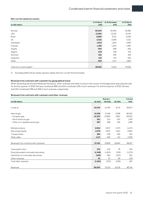#### **Non-current assets by country**

|                                        | At 31 March | At 31 December | At 31 March |
|----------------------------------------|-------------|----------------|-------------|
| (in USD million)                       | 2022        | 2021           | 2021        |
|                                        |             |                |             |
| Norway                                 | 40,244      | 40,564         | 42,280      |
| <b>USA</b>                             | 12,564      | 12,323         | 13,047      |
| Brazil                                 | 8,890       | 8,751          | 8,359       |
| UK                                     | 2,022       | 2,096          | 4,331       |
| Azerbaijan                             | 1,633       | 1,654          | 1,692       |
| Canada                                 | 1,385       | 1,403          | 1,480       |
| Angola                                 | 954         | 948            | 942         |
| Algeria                                | 678         | 708            | 794         |
| Denmark                                | 522         | 536            | 918         |
| Argentina                              | 512         | 474            | 420         |
| Other                                  | 505         | 1,757          | 1,667       |
|                                        |             |                |             |
| Total non-current assets <sup>1)</sup> | 69,910      | 71,213         | 75,930      |

1) Excluding deferred tax assets, pension assets and non-current financial assets

#### **Revenues from contracts with customers by geographical areas**

When attributing the line item Revenues third party, other revenues and other income to the country of the legal entity executing the sale for the first quarter of 2022, Norway constitutes 86% and USA constitutes 10% of such revenues. For the first quarter of 2021, Norway and USA constituted 79% and 16% of such revenues, respectively.

#### **Revenues from contracts with customers and other revenues**

|                                          |          | Quarters | <b>Full year</b> |         |
|------------------------------------------|----------|----------|------------------|---------|
| (in USD million)                         | Q1 2022  | Q4 2021  | Q1 2021          | 2021    |
|                                          |          |          |                  |         |
| Crude oil                                | 15,034   | 10,784   | 8,714            | 38,307  |
|                                          |          |          |                  |         |
| Natural gas                              | 15,538   | 15,199   | 3,298            | 28,050  |
| - European gas                           | 14,350   | 13,990   | 2,661            | 24,900  |
| - North American gas                     | 621      | 611      | 422              | 1,783   |
| - Other incl. Liquefied natural gas      | 567      | 598      | 216              | 1,368   |
|                                          |          |          |                  |         |
| Refined products                         | 2,904    | 3,507    | 2,373            | 11,473  |
| Natural gas liquids                      | 2,576    | 2,675    | 1,910            | 8,490   |
| Transportation                           | 282      | 239      | 256              | 921     |
| Other sales                              | 1,117    | 425      | 112              | 1,006   |
|                                          |          |          |                  |         |
| Revenues from contracts with customers   | 37,451   | 32,828   | 16,664           | 88,247  |
|                                          |          |          |                  |         |
| Taxes paid in-kind                       | 105      | 105      | 78               | 345     |
| Physically settled commodity derivatives | (1,348)  | (1, 453) | (159)            | (1,075) |
| Gain/(loss) on commodity derivatives     | (220)    | 584      | (523)            | 951     |
| Other revenues                           | 61       | 61       | 69               | 276     |
| Total other revenues                     | (1, 401) | (703)    | (536)            | 497     |
|                                          |          |          |                  |         |
| Revenues                                 | 36,050   | 32,125   | 16,129           | 88,744  |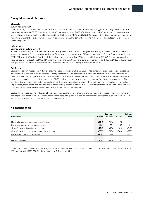#### **3 Acquisitions and disposals**

#### **Disposals**

#### **10% of Dogger Bank C**

On 10 February 2022, Equinor closed the transaction with Eni to sell a 10% equity interest in the Dogger Bank C project in the UK for a total consideration of GBP 68 million (USD 91 million), resulting in a gain of GBP 65 million (USD 87 million). After closing, the new overall shareholdings in Dogger Bank C are SSE Renewables (40%), Equinor (40%), and Eni (20%). Equinor will continue to equity account for the remaining investment as a joint venture. The gain is presented in the line item Other income in the Consolidated statement of income in the REN segment.

#### **Held for sale**

#### **Equinor Energy Ireland Limited**

In the fourth quarter of 2021, Equinor entered into an agreement with Vermilion Energy Inc (Vermilion) to sell Equinor's non-operated equity position in the Corrib gas project in Ireland. The transaction covers a sale of 100% of the shares in Equinor Energy Ireland Limited (EEIL). EEIL owns 36.5% of the Corrib field alongside the operator Vermilion (20%) and Nephin Energy (43.5%). Equinor and Vermilion have agreed a consideration of USD 434 million before closing adjustments and contingent consideration linked to 2022 production level and gas prices. The effective date for the transaction is 1 January 2022. Closing is expected during 2022.

#### **Exit Russia**

Equinor has certain investments in Russia. Following Russia's invasion of Ukraine, Equinor has announced that it has decided to stop new investments in Russia and start the process of exiting Equinor's joint arrangements. Based on this decision, Equinor has evaluated its assets in Russia and recognised net impairments of USD 1,083 million in the first quarter, of which USD 251 million is related to property, plant and equipment and intangible assets and USD 832 million is related to investments accounted for using the equity method. The impairments are net of contingent consideration from the time of acquiring the assets. The impairments are recognised in the line items Depreciation, amortisation and net impairment losses and Exploration expenses in the Consolidated statement of income based on the nature of the impaired assets and are reflected in the E&P International segment.

Equinor has stopped trading in Russian oil. This means that Equinor will not enter into any new trades or engage in new transport of oil and oil products from Russia. Equinor has assessed the accounting impact of certain commitments arising from such contracts entered into prior to the invasion and deem the impact to be immaterial.

#### **4 Financial items**

|                                                       |         | Quarters |         | Full year |
|-------------------------------------------------------|---------|----------|---------|-----------|
| (in USD million)                                      | Q1 2022 | Q4 2021  | Q1 2021 | 2021      |
|                                                       |         |          |         |           |
| Net foreign currency exchange gains/(losses)          | (284)   | (68)     | 70      | 47        |
| Interest income and other financial items             | 114     | 37       | 45      | 152       |
| Gains/(losses) on financial investments               | (134)   | (16)     | (150)   | (348)     |
| Gains/(losses) other derivative financial instruments | (599)   | (96)     | (360)   | (708)     |
| Interest and other finance expenses                   | (266)   | (299)    | (312)   | (1,223)   |
|                                                       |         |          |         |           |
| Net financial items                                   | (1,169) | (443)    | (707)   | (2,080)   |

Equinor has a US Commercial paper programme available with a limit of USD 5 billion. USD 1,305 million has been utilised as of 31 March 2022, compared to USD 2,600 million utilised as of 31 December 2021.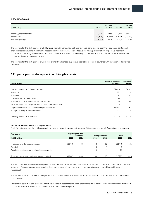#### **5 Income taxes**

|                          |          | Quarters |         | Full year |
|--------------------------|----------|----------|---------|-----------|
| (in USD million)         | Q1 2022  | Q4 2021  | Q1 2021 | 2021      |
|                          |          |          |         |           |
| Income/(loss) before tax | 17,223   | 13.135   | 4.513   | 31,583    |
| Income tax               | (12,509) | (9,765)  | (2,659) | (23,007)  |
| Effective tax rate       | 72.6%    | 74.3%    | 58.9%   | 72.8%     |

The tax rate for the first quarter of 2022 was primarily influenced by high share of operating income from the Norwegian continental shelf and losses including impairments recognised in countries with lower effective tax rates, partially offset by positive income in countries with unrecognised deferred tax assets. The tax rate is also influenced by currency effects in entities that are taxable in other currencies than the functional currency.

The tax rate for the first quarter of 2021 was primarily influenced by positive operating income in countries with unrecognised deferred tax assets.

#### **6 Property, plant and equipment and intangible assets**

| (in USD million)                                            | Property, plant and<br>equipment | Intangible<br>assets |
|-------------------------------------------------------------|----------------------------------|----------------------|
|                                                             |                                  |                      |
| Carrying amount at 31 December 2021                         | 62.075                           | 6,452                |
| Additions                                                   | 571                              | 79                   |
| Transfers                                                   | 731                              | (731)                |
| Disposals and reclassifications                             | O                                | (1)                  |
| Transferred to assets classified as held for sale           | 6                                | 0                    |
| Expensed exploration expenditures and net impairment losses |                                  | (73)                 |
| Depreciation, amortisation and net impairment losses        | (1,180)                          | (6)                  |
| Foreign currency translation effects                        | 272                              | 3                    |
| Carrying amount at 31 March 2022                            | 62.475                           | 5.725                |

#### **Net impairments/(reversal) of impairments**

For information on impairment losses and reversals per reporting segment, see note 2 Segments and note 3 Acquisitions and disposals.

| <b>First quarter</b>                               |                          | Property, plant and      |      |                   |         |                |
|----------------------------------------------------|--------------------------|--------------------------|------|-------------------|---------|----------------|
|                                                    |                          | equipment                |      | Intangible assets | Total   |                |
| (in USD million)                                   | 2022                     | 2021                     | 2022 | 2021              | 2022    | 2021           |
|                                                    |                          |                          |      |                   |         |                |
| Producing and development assets                   | (1,144)                  | 410                      | Ο    | 12                | (1,144) | 423            |
| Goodwill                                           |                          | $\overline{\phantom{0}}$ | Ο    |                   | 0       |                |
| Acquisition costs related to oil and gas prospects | $\overline{\phantom{0}}$ | $\overline{\phantom{0}}$ | 46   | 4                 | 46      | $\overline{4}$ |
|                                                    |                          |                          |      |                   |         |                |
| Total net impairment loss/(reversal) recognised    | (1,144)                  | 410                      | 46   | 18                | (1,098) | 428            |

The net impairments have been recognised in the Consolidated statement of income as Depreciation, amortisation and net impairment losses and Exploration expenses based on the impaired assets' nature of property, plant and equipment and intangible assets, respectively.

The recoverable amounts in the first quarter of 2022 were based on value in use except for the Russian assets, see note 3 Acquisitions and disposals.

Value in use estimates and discounted cash flows used to determine the recoverable amount of assets tested for impairment are based on internal forecasts on costs, production profiles and commodity prices.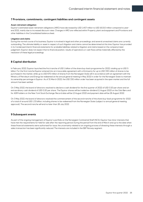#### **7 Provisions, commitments, contingent liabilities and contingent assets**

#### **Asset retirement obligation**

Equinor's estimated asset retirement obligations (ARO) have decreased by USD 1,407 million to USD 16,010 million compared to yearend 2021, mainly due to increased discount rates. Changes in ARO are reflected within Property, plant and equipment and Provisions and other liabilities in the Consolidated balance sheet.

#### **Litigation and claims**

During the normal course of its business, Equinor is involved in legal and other proceedings, and several unresolved claims are currently outstanding. The ultimate liability or asset in respect of such litigation and claims cannot be determined at this time. Equinor has provided in its Condensed interim financial statements for probable liabilities related to litigation and claims based on the company's best judgement. Equinor does not expect that its financial position, results of operations or cash flows will be materially affected by the resolution of these legal proceedings.

#### **8 Capital distribution**

In February 2022, Equinor launched the first tranche of USD 1 billion of the share buy-back programme for 2022, totaling up to USD 5 billion. For the first tranche Equinor entered into an irrevocable agreement with a third party for up to USD 330 million of shares to be purchased in the market, while up to USD 670 million of shares from the Norwegian State will in accordance with an agreement with the Ministry of Petroleum and Energy be redeemed at the annual general meeting in May 2022 in order for the Norwegian State to maintain its ownership percentage in Equinor. As of 31 March 2022, the USD 330 million order has been acquired in the open market and the full amount has been settled.

On 3 May 2022, the board of directors resolved to declare a cash dividend for the first quarter of 2022 of USD 0.20 per share and an extraordinary cash dividend of USD 0.20 per share. The Equinor shares will be traded ex-dividend 11 August 2022 on the Oslo Børs and for ADR holders on the New York Stock Exchange. Record date will be 12 August 2022 and payment date will be 26 August 2022.

On 3 May 2022, the board of directors resolved the commencement of the second tranche of the share buy-back programme for 2022 of a total of around USD 1.33 billion, including shares to be redeemed from the Norwegian State (subject to annual general meeting approval). The second tranche will end no later than 26 July 2022.

#### **9 Subsequent events**

As part of the ongoing management of Equinor's portfolio on the Norwegian Continental Shelf (NCS), Equinor has minor interests that have met the requirements for held for sale after the reporting period. During the period from the end of March and up to the date when these financial statements were authorised for issue, the uncertainty related to an ongoing process of divesting these interests through a sales transaction has been significantly reduced. The interests are included in the E&P Norway segment.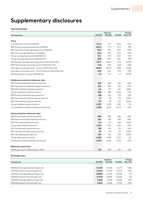## **Supplementary disclosures**

**Operational data**

|                                                                                              |         | Quarters |         | Change   |
|----------------------------------------------------------------------------------------------|---------|----------|---------|----------|
| <b>Operational data</b>                                                                      | Q1 2022 | Q4 2021  | Q1 2021 | Q1 on Q1 |
| Prices                                                                                       |         |          |         |          |
| Average Brent oil price (USD/bbl)                                                            | 101.4   | 79.7     | 60.9    | 67%      |
| E&P Norway average liquids price (USD/bbl)                                                   | 100.3   | 77.7     | 57.3    | 75%      |
|                                                                                              | 96.3    | 76.1     | 58.6    | 64%      |
| E&P International average liquids price (USD/bbl)<br>E&P USA average liquids price (USD/bbl) | 82.5    | 67.5     | 50.5    | 63%      |
| Group average liquids price (USD/bbl) [1]                                                    | 97.1    | 75.9     | 56.4    | 72%      |
| Group average liquids price (NOK/bbl) [1]                                                    | 859     | 663      | 480     | 79%      |
|                                                                                              | 29.77   | 28.52    | 5.46    | $>100\%$ |
| E&P Norway average internal gas price (USD/mmbtu) [9]                                        | 4.18    | 4.84     | 2.28    | 83%      |
| E&P USA average internal gas price (USD/mmbtu) [9]                                           | 29.60   | 28.76    | 6.65    | >100%    |
| Average invoiced gas prices - Europe (USD/mmbtu) [8]                                         | 4.62    | 4.97     | 2.71    | 70%      |
| Average invoiced gas prices - North America (USD/mmbtu) [8]                                  | 5.8     |          | 1.5     | $>100\%$ |
| Refining reference margin (USD/bbl) [2]                                                      |         | 6.0      |         |          |
| Entitlement production (mboe per day)                                                        |         |          |         |          |
| E&P Norway entitlement liquids production                                                    | 638     | 656      | 662     | (4%)     |
| E&P International entitlement liquids production                                             | 201     | 200      | 212     | (5%)     |
| E&P USA entitlement liquids production                                                       | 114     | 127      | 150     | (24%)    |
| Group entitlement liquids production                                                         | 953     | 983      | 1,024   | (7%)     |
| E&P Norway entitlement gas production                                                        | 798     | 813      | 723     | 10%      |
| E&P International entitlement gas production                                                 | 37      | 38       | 55      | (33%)    |
| E&P USA entitlement gas production                                                           | 170     | 179      | 212     | (20%)    |
| Group entitlement gas production                                                             | 1,005   | 1,029    | 990     | 2%       |
| Total entitlement liquids and gas production [3]                                             | 1,958   | 2,012    | 2,014   | (3%)     |
| Equity production (mboe per day)                                                             |         |          |         |          |
| E&P Norway equity liquids production                                                         | 638     | 656      | 662     | (4%)     |
| E&P International equity liquids production                                                  | 287     | 283      | 299     | (4%)     |
| E&P USA equity liquids production                                                            | 127     | 137      | 169     | (25%)    |
| Group equity liquids production                                                              | 1,051   | 1,076    | 1,130   | (7%)     |
| E&P Norway equity gas production                                                             | 798     | 813      | 723     | 10%      |
| E&P International equity gas production                                                      | 54      | 56       | 61      | (12%)    |
| E&P USA equity gas production                                                                | 203     | 213      | 254     | (20%)    |
| Group equity gas production                                                                  | 1,055   | 1,082    | 1,037   | 2%       |
| Total equity liquids and gas production [4]                                                  | 2,106   | 2,158    | 2,168   | (3%)     |
|                                                                                              |         |          |         |          |
| <b>REN power generation</b>                                                                  |         |          |         |          |
| Power generation (GWh) Equinor share                                                         | 511     | 526      | 451     | 13%      |

#### **Exchange rates**

|                                     |         | Quarters |         | Change   |
|-------------------------------------|---------|----------|---------|----------|
| <b>Exchange rates</b>               | Q1 2022 | Q4 2021  | Q1 2021 | Q1 on Q1 |
|                                     |         |          |         |          |
| NOK/USD average daily exchange rate | 0.1130  | 0.1146   | 0.1174  | (4%)     |
| NOK/USD period-end exchange rate    | 0.1143  | 0.1134   | 0.1173  | (3%)     |
| USD/NOK average daily exchange rate | 8.8483  | 8.7245   | 8.5146  | 4%       |
| USD/NOK period-end exchange rate    | 8.7479  | 8.8194   | 8.5249  | 3%       |
| EUR/USD average daily exchange rate | 1.1216  | 1.1433   | 1.2048  | (7%)     |
| EUR/USD period-end exchange rate    | 1.1101  | 1.1326   | 1.1725  | (5%)     |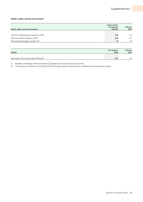#### **Health, safety and the environment**

| Health, safety and the environment             | <b>Twelve months</b><br>average per<br>Q1 2022 | Full year<br>2021 |
|------------------------------------------------|------------------------------------------------|-------------------|
|                                                |                                                |                   |
| Total recordable injury frequency (TRIF)       | 2.4                                            | 2.4               |
| Serious Incident Frequency (SIF)               | 0.5                                            | 0.4               |
| Oil and gas leakages (number of) <sup>1)</sup> | 9                                              | 12                |

| Climate                                           | <b>First quarter</b><br>2022 | Full year<br>2021 |
|---------------------------------------------------|------------------------------|-------------------|
|                                                   |                              |                   |
| Upstream CO2 intensity (kg CO2/boe) <sup>2)</sup> |                              |                   |

1) Number of leakages with rate above 0.1 kg/second during the past 12 months.

2) Total scope 1 emissions of CO2 (kg CO2) from exploration and production, divided by total production (boe).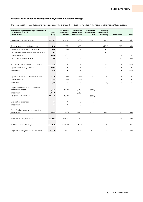#### **Reconciliation of net operating income/(loss) to adjusted earnings**

The table specifies the adjustments made to each of the profit and loss line item included in the net operating income/(loss) subtotal.

| Items impacting net operating income/(loss) in<br>the first quarter of 2022<br>(in USD million) | Equinor<br>group | <b>Exploration</b><br>& Production<br>Norway | <b>Exploration</b><br>& Production<br>International | <b>Exploration</b><br>& Production<br><b>USA</b> | Marketing,<br>Midstream &<br>Processing | <b>Renewables</b>        | Other |
|-------------------------------------------------------------------------------------------------|------------------|----------------------------------------------|-----------------------------------------------------|--------------------------------------------------|-----------------------------------------|--------------------------|-------|
|                                                                                                 |                  |                                              |                                                     |                                                  |                                         |                          |       |
| Net operating income/(loss)                                                                     | 18,392           | 16,934                                       | (366)                                               | 1,245                                            | 483                                     | 77                       | 19    |
|                                                                                                 |                  |                                              |                                                     |                                                  |                                         |                          |       |
| Total revenues and other income                                                                 | 319              | 209                                          | 400                                                 |                                                  | (202)                                   | (87)                     | (1)   |
| Changes in fair value of derivatives                                                            | 205              | (154)                                        | 314                                                 |                                                  | 45                                      |                          |       |
| Periodisation of inventory hedging effect                                                       | (247)            |                                              |                                                     |                                                  | (247)                                   |                          |       |
| Over-/underlift                                                                                 | 449              | 363                                          | 86                                                  |                                                  |                                         |                          |       |
| Gain/loss on sale of assets                                                                     | (88)             |                                              |                                                     |                                                  |                                         | (87)                     | (1)   |
| Purchases [net of inventory variation]                                                          | (272)            |                                              |                                                     |                                                  | (181)                                   | $\overline{\phantom{a}}$ | (90)  |
| Operational storage effects                                                                     | (181)            |                                              |                                                     |                                                  | (181)                                   |                          |       |
| Eliminations                                                                                    | (90)             |                                              |                                                     |                                                  |                                         | $\overline{a}$           | (90)  |
| Operating and administrative expenses                                                           | (179)            | (68)                                         | (33)                                                | (0)                                              | (78)                                    |                          |       |
| Over-/underlift                                                                                 | (101)            | (68)                                         | (33)                                                |                                                  | $\overline{a}$                          |                          |       |
| Provisions                                                                                      | (78)             |                                              |                                                     |                                                  | (78)                                    |                          |       |
| Depreciation, amortisation and net                                                              |                  |                                              |                                                     |                                                  |                                         |                          |       |
| impairment losses                                                                               | (315)            | (821)                                        | 1,039                                               | (533)                                            |                                         | $\overline{\phantom{a}}$ |       |
| Impairment                                                                                      | 1,039            | $\overline{a}$                               | 1,039                                               | $\overline{a}$                                   |                                         |                          |       |
| Reversal of Impairment                                                                          | (1, 354)         | (821)                                        |                                                     | (533)                                            |                                         |                          |       |
| <b>Exploration expenses</b>                                                                     | 46               | 4                                            | 41                                                  | $\mathbf{1}$                                     |                                         |                          |       |
| Impairment                                                                                      | 46               | $\overline{4}$                               | 41                                                  | $\mathbf{1}$                                     |                                         |                          |       |
| Sum of adjustments to net operating<br>income/(loss)                                            | (401)            | (676)                                        | 1,447                                               | (532)                                            | (461)                                   | (87)                     | (91)  |
|                                                                                                 |                  |                                              |                                                     |                                                  |                                         |                          |       |
| Adjusted earnings/(loss) [5]                                                                    | 17,991           | 16,258                                       | 1,081                                               | 713                                              | 22                                      | (10)                     | (72)  |
| Tax on adjusted earnings                                                                        | (12, 812)        | (12,602)                                     | (234)                                               | (13)                                             | 6                                       | 3                        | 29    |
| Adjusted earnings/(loss) after tax [5]                                                          | 5,179            | 3,656                                        | 846                                                 | 700                                              | 27                                      | (7)                      | (43)  |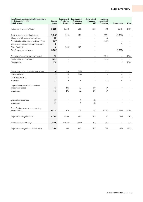| Items impacting net operating income/(loss) in<br>the first quarter of 2021<br>(in USD million) | Equinor<br>group | <b>Exploration &amp;</b><br>Production<br>Norway | <b>Exploration &amp;</b><br>Production<br>International | <b>Exploration &amp;</b><br>Production<br><b>USA</b> | Marketing,<br>Midstream &<br>Processing | Renewables     | Other |
|-------------------------------------------------------------------------------------------------|------------------|--------------------------------------------------|---------------------------------------------------------|------------------------------------------------------|-----------------------------------------|----------------|-------|
|                                                                                                 |                  |                                                  |                                                         |                                                      |                                         |                |       |
| Net operating income/(loss)                                                                     | 5,220            | 3,350                                            | 261                                                     | 152                                                  | 392                                     | 1,341          | (276) |
|                                                                                                 |                  |                                                  |                                                         |                                                      |                                         |                |       |
| Total revenues and other income                                                                 | (1,645)          | (143)                                            | 149                                                     |                                                      | (271)                                   | (1, 379)       |       |
| Changes in fair value of derivatives                                                            | 16               |                                                  |                                                         |                                                      | 16                                      |                |       |
| Periodisation of inventory hedging effect                                                       | (287)            |                                                  |                                                         |                                                      | (287)                                   |                |       |
| Impairment from associated companies                                                            | 3                |                                                  |                                                         |                                                      |                                         | 3              |       |
| Over-/underlift                                                                                 | 6                | (143)                                            | 149                                                     |                                                      |                                         |                |       |
| Gain/loss on sale of assets                                                                     | (1, 382)         |                                                  |                                                         |                                                      |                                         | (1, 382)       |       |
| Purchases [net of inventory variation]                                                          | 95               |                                                  |                                                         |                                                      | (105)                                   | $\overline{a}$ | 200   |
| Operational storage effects                                                                     | (105)            |                                                  |                                                         |                                                      | (105)                                   |                |       |
| Eliminations                                                                                    | 200              |                                                  |                                                         |                                                      |                                         |                | 200   |
|                                                                                                 |                  |                                                  |                                                         |                                                      |                                         |                |       |
| Operating and administrative expenses                                                           | (14)             | 80                                               | (82)                                                    |                                                      | (11)                                    |                |       |
| Over-/underlift                                                                                 | (5)              | 78                                               | (82)                                                    |                                                      |                                         |                |       |
| Other adjustments                                                                               | $\overline{2}$   | $\overline{2}$                                   |                                                         |                                                      | $\overline{\phantom{a}}$                |                |       |
| Provisions                                                                                      | (11)             |                                                  |                                                         |                                                      | (11)                                    |                |       |
| Depreciation, amortisation and net<br>impairment losses                                         | 411              | 276                                              | 50                                                      | 28                                                   | 57                                      |                |       |
| Impairment                                                                                      | 411              | 276                                              | 50                                                      | 28                                                   | 57                                      |                |       |
|                                                                                                 |                  |                                                  |                                                         |                                                      |                                         |                |       |
| <b>Exploration expenses</b>                                                                     | 17               |                                                  | 4                                                       | 12                                                   |                                         |                |       |
| Impairment                                                                                      | 17               |                                                  | $\overline{4}$                                          | 12                                                   |                                         |                |       |
| Sum of adjustments to net operating<br>income/(loss)                                            | (1, 135)         | 213                                              | 121                                                     | 40                                                   | (330)                                   | (1, 379)       | 200   |
| Adjusted earnings/(loss) [5]                                                                    | 4,085            | 3,563                                            | 382                                                     | 192                                                  | 61                                      | (38)           | (76)  |
| Tax on adjusted earnings                                                                        | (2,796)          | (2,586)                                          | (206)                                                   | (0)                                                  | (31)                                    | 4              | 23    |
| Adjusted earnings/(loss) after tax [5]                                                          | 1.289            | 977                                              | 176                                                     | 192                                                  | 30                                      | (34)           | (53)  |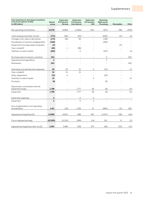| Items impacting net operating income/(loss)<br>in the fourth quarter of 2021<br>(in USD million) | Equinor<br>group | <b>Exploration</b><br>& Production<br>Norway | <b>Exploration</b><br>& Production<br>International | <b>Exploration</b><br>& Production<br><b>USA</b> | Marketing,<br>Midstream &<br>Processing | Renewables               | Other |
|--------------------------------------------------------------------------------------------------|------------------|----------------------------------------------|-----------------------------------------------------|--------------------------------------------------|-----------------------------------------|--------------------------|-------|
|                                                                                                  |                  |                                              |                                                     |                                                  |                                         |                          |       |
| Net operating income/(loss)                                                                      | 13,578           | 14,858                                       | (1,060)                                             | 550                                              | (327)                                   | (38)                     | (405) |
|                                                                                                  |                  |                                              |                                                     |                                                  |                                         |                          |       |
| Total revenues and other income                                                                  | (772)            | (80)                                         | (50)                                                |                                                  | (640)                                   | (0)                      | (1)   |
| Changes in fair value of derivatives                                                             | (173)            | (81)                                         | 36                                                  | $\overline{a}$                                   | (128)                                   | $\overline{\phantom{a}}$ |       |
| Periodisation of inventory hedging effect                                                        | (346)            |                                              |                                                     |                                                  | (346)                                   | $\overline{a}$           |       |
| Impairment from associated companies                                                             | (0)              |                                              |                                                     |                                                  |                                         | (0)                      |       |
| Over-/underlift                                                                                  | (85)             | $\mathbf{1}$                                 | (86)                                                |                                                  |                                         |                          |       |
| Gain/loss on sale of assets                                                                      | (168)            |                                              | $\circ$                                             |                                                  | (167)                                   |                          | (1)   |
| Purchases [net of inventory variation]                                                           | 342              | $\overline{\phantom{a}}$                     | $\overline{a}$                                      |                                                  | $\overline{2}$                          | $\overline{\phantom{a}}$ | 340   |
| Operational storage effects                                                                      | $\overline{2}$   | $\overline{a}$                               |                                                     |                                                  | $\overline{2}$                          |                          |       |
| Eliminations                                                                                     | 340              |                                              |                                                     |                                                  |                                         | $\overline{a}$           | 340   |
|                                                                                                  |                  |                                              |                                                     |                                                  |                                         |                          |       |
| Operating and administrative expenses                                                            | 39               | 35                                           | 21                                                  | 4                                                | (33)                                    | $\overline{a}$           | 12    |
| Over-/underlift                                                                                  | 52               | 31                                           | 21                                                  |                                                  |                                         |                          |       |
| Other adjustments                                                                                | (21)             | 4                                            |                                                     |                                                  | (25)                                    |                          |       |
| Gain/loss on sale of assets                                                                      | 16               |                                              |                                                     | 4                                                | $\overline{a}$                          |                          | 12    |
| Provisions                                                                                       | (8)              |                                              |                                                     |                                                  | (8)                                     |                          |       |
| Depreciation, amortisation and net<br>impairment losses                                          | 1,798            |                                              | 1,777                                               | 29                                               | (9)                                     |                          | (0)   |
| Impairment                                                                                       | 1,798            |                                              | 1,777                                               | 29                                               | (9)                                     |                          | (0)   |
| <b>Exploration expenses</b>                                                                      | 4                | $\overline{\phantom{a}}$                     | $\circ$                                             | 4                                                | $\centerdot$                            | $\overline{\phantom{a}}$ |       |
| Impairment                                                                                       | 4                | $\overline{a}$                               | $\Omega$                                            | $\overline{4}$                                   | $\overline{\phantom{a}}$                | $\overline{a}$           |       |
| Sum of adjustments to net operating<br>income/(loss)                                             | 1,411            | (45)                                         | 1,749                                               | 37                                               | (680)                                   | (0)                      | 350   |
| Adjusted earnings/(loss) [5]                                                                     | 14,989           | 14,813                                       | 688                                                 | 587                                              | (1,007)                                 | (38)                     | (54)  |
| Tax on adjusted earnings                                                                         | (10, 592)        | (11, 315)                                    | (180)                                               | (14)                                             | 911                                     | 8                        | (2)   |
| Adjusted earnings/(loss) after tax [5]                                                           | 4,397            | 3.498                                        | 508                                                 | 574                                              | (96)                                    | (30)                     | (57)  |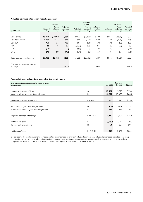#### **Adjusted earnings after tax by reporting segment**

|                                             |                      |                                |                                   |                      | <b>Quarters</b>                |                                   |                      |                                |                                   |
|---------------------------------------------|----------------------|--------------------------------|-----------------------------------|----------------------|--------------------------------|-----------------------------------|----------------------|--------------------------------|-----------------------------------|
|                                             |                      | Q1 2022                        |                                   |                      | Q4 2021                        |                                   |                      | Q1 2021                        |                                   |
| (in USD million)                            | Adjusted<br>earnings | Tax on<br>adjusted<br>earnings | Adjusted<br>earnings<br>after tax | Adjusted<br>earnings | Tax on<br>adjusted<br>earnings | Adjusted<br>earnings<br>after tax | Adjusted<br>earnings | Tax on<br>adjusted<br>earnings | Adjusted<br>earnings<br>after tax |
|                                             |                      |                                |                                   |                      |                                |                                   |                      |                                |                                   |
| <b>E&amp;P Norway</b>                       | 16,258               | (12,602)                       | 3,656                             | 14,813               | (11, 315)                      | 3,498                             | 3,563                | (2,586)                        | 977                               |
| E&P International                           | 1,081                | (234)                          | 846                               | 688                  | (180)                          | 508                               | 382                  | (206)                          | 176                               |
| E&P USA                                     | 713                  | (13)                           | 700                               | 587                  | (14)                           | 574                               | 192                  | (0)                            | 192                               |
| <b>MMP</b>                                  | 22                   | 6                              | 27                                | (1,007)              | 911                            | (96)                              | 61                   | (31)                           | 30                                |
| <b>REN</b>                                  | (10)                 | 3                              | (7)                               | (38)                 | 8                              | (30)                              | (38)                 | 4                              | (34)                              |
| Other                                       | (72)                 | 29                             | (43)                              | (54)                 | (2)                            | (57)                              | (76)                 | 23                             | (53)                              |
|                                             |                      |                                |                                   |                      |                                |                                   |                      |                                |                                   |
| <b>Total Equinor consolidation</b>          | 17,991               | (12, 812)                      | 5,179                             | 14,989               | (10,592)                       | 4,397                             | 4.085                | (2,796)                        | 1,289                             |
|                                             |                      |                                |                                   |                      |                                |                                   |                      |                                |                                   |
| Effective tax rates on adjusted<br>earnings |                      |                                | 71.2%                             |                      |                                | 70.7%                             |                      |                                | 68.4%                             |

#### **Reconciliation of adjusted earnings after tax to net income**

| Reconciliation of adjusted earnings after tax to net income |                 |         | Quarters |         |
|-------------------------------------------------------------|-----------------|---------|----------|---------|
| (in USD million)                                            |                 | Q1 2022 | Q4 2021  | Q1 2021 |
|                                                             |                 |         |          |         |
| Net operating income/(loss)                                 | A               | 18,392  | 13,578   | 5,220   |
| Income tax less tax on net financial items                  | B               | 12,572  | 10,033   | 2,863   |
|                                                             |                 |         |          |         |
| Net operating income after tax                              | $C = A-B$       | 5,820   | 3,545    | 2,358   |
|                                                             |                 |         |          |         |
| Items impacting net operating income <sup>1)</sup>          | D               | (401)   | 1,411    | (1,135) |
| Tax on items impacting net operating income                 | E               | 239     | 559      | (67)    |
|                                                             |                 |         |          |         |
| Adjusted earnings after tax [5]                             | $F = C + D - E$ | 5,179   | 4,397    | 1,289   |
|                                                             |                 |         |          |         |
| Net financial items                                         | G               | (1,169) | (443)    | (707)   |
| Tax on net financial items                                  | H               | 64      | 267      | 204     |
|                                                             |                 |         |          |         |
| Net income/(loss)                                           | $= C + G + H$   | 4,714   | 3,370    | 1,854   |

1) Represents the total adjustments to net operating income made to arrive at adjusted earnings (i.e., adjusted purchases, adjusted operating and administrative expenses, adjusted depreciation, amortisation and impairment expenses and adjusted exploration expenses, each of which are presented and reconciled to the relevant related IFRS figure for the periods presented in this report).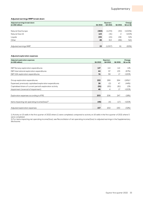#### **Adjusted earnings MMP break down**

| Adjusted earnings break down<br>(in USD million) | Q1 2022 | <b>Quarters</b><br>Q4 2021 | Q1 2021 | Change<br>Q1 on Q1 |
|--------------------------------------------------|---------|----------------------------|---------|--------------------|
| Natural Gas Europe                               | (383)   | (1,274)                    | (30)    | >(100%)            |
| Natural Gas US                                   | 123     | (31)                       | 2       | >100%              |
| Liquids                                          | 235     | (15)                       | 156     | 51%                |
| Other                                            | 46      | 313                        | (66)    | N/A                |
|                                                  |         |                            |         |                    |
| Adjusted earnings MMP                            | 22      | (1,007)                    | 61      | (65%)              |

#### **Adjusted exploration expenses**

| Adjusted exploration expenses<br>(in USD million)          | Q1 2022 | Quarters<br>Q4 2021 | Q1 2021 | Change<br>Q1 on Q1 |
|------------------------------------------------------------|---------|---------------------|---------|--------------------|
|                                                            |         |                     |         |                    |
| E&P Norway exploration expenditures                        | 127     | 114                 | 114     | 11%                |
| E&P International exploration expenditures                 | 44      | 97                  | 133     | (67%)              |
| E&P USA exploration expenditures                           | 51      | 59                  | 17      | $>100\%$           |
|                                                            |         |                     |         |                    |
| Group exploration expenditures                             | 222     | 269                 | 264     | $(16\%)^{1}$       |
| Expensed, previously capitalised exploration expenditures  | 26      | (2)                 | 47      | (44%)              |
| Capitalised share of current period's exploration activity | (91)    | (65)                | (81)    | 13%                |
| Impairment (reversal of impairment)                        | 46      | 4                   | 17      | $>100\%$           |
|                                                            |         |                     |         |                    |
| Exploration expenses according to IFRS                     | 203     | 206                 | 247     | (18%)              |
|                                                            |         |                     |         |                    |
| Items impacting net operating income/(loss) <sup>2)</sup>  | (46)    | (4)                 | (17)    | >100%              |
|                                                            |         |                     |         |                    |
| Adjusted exploration expenses                              | 157     | 202                 | 230     | (32%)              |

1) Activity on 15 wells in the first quarter of 2022 where 11 were completed, compared to activity on 16 wells in the first quarter of 2021 where 5 were completed.

2) For items impacting net operating income/(loss), see Reconciliation of net operating income/(loss) to adjusted earnings in the Supplementary disclosures.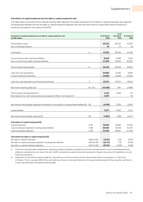#### **Calculation of capital employed and net debt to capital employed ratio**

The table below reconciles the net interest-bearing debt adjusted, the capital employed, the net debt to capital employed ratio adjusted including lease liabilities and the net debt to capital employed adjusted ratio with the most directly comparable financial measure or measures calculated in accordance with IFRS.

| Calculation of capital employed and net debt to capital employed ratio<br>(in USD million)        |               | At 31 March<br>2022 | At 31<br>December<br>2021 | At 31 March<br>2021 |
|---------------------------------------------------------------------------------------------------|---------------|---------------------|---------------------------|---------------------|
|                                                                                                   |               |                     |                           |                     |
| Shareholders' equity                                                                              |               | 43,233              | 39,010                    | 35,764              |
| Non-controlling interests                                                                         |               | 19                  | 14                        | 18                  |
|                                                                                                   |               |                     |                           |                     |
| Total equity                                                                                      | А             | 43,251              | 39,024                    | 35,782              |
|                                                                                                   |               |                     |                           |                     |
| Current finance debt and lease liabilities                                                        |               | 6,649               | 6,386                     | 3,915               |
| Non-current finance debt and lease liabilities                                                    |               | 27,493              | 29,854                    | 30,997              |
|                                                                                                   |               |                     |                           |                     |
| Gross interest-bearing debt                                                                       | Β             | 34,142              | 36,239                    | 34,913              |
|                                                                                                   |               |                     |                           |                     |
| Cash and cash equivalents                                                                         |               | 20,882              | 14,126                    | 8,992               |
| Current financial investments                                                                     |               | 23,689              | 21,246                    | 10,922              |
|                                                                                                   |               |                     |                           |                     |
| Cash and cash equivalents and financial investment                                                | C             | 44,571              | 35,372                    | 19,914              |
|                                                                                                   |               |                     |                           |                     |
| Net interest-bearing debt [10]                                                                    | $B1 = B - C$  | (10, 429)           | 867                       | 14,998              |
| Other interest-bearing elements <sup>1)</sup>                                                     |               | 4,152               | 2,369                     | 773                 |
| Normalisation for cash-build up before tax payment (50% of Tax Payment) <sup>2)</sup>             |               | 2,087               |                           | 39                  |
|                                                                                                   |               |                     |                           |                     |
|                                                                                                   |               |                     |                           |                     |
| Net interest-bearing debt adjusted normalised for tax payment, including lease liabilities [5] B2 |               | (4,190)             | 3,236                     | 15,811              |
|                                                                                                   |               |                     |                           |                     |
| Lease liabilities                                                                                 |               | 3,677               | 3,562                     | 4,137               |
|                                                                                                   |               |                     |                           |                     |
| Net interest-bearing debt adjusted [5]                                                            | B3            | (7, 867)            | (326)                     | 11,674              |
|                                                                                                   |               |                     |                           |                     |
| Calculation of capital employed [5]                                                               |               |                     |                           |                     |
| Capital employed                                                                                  | $A + B1$      | 32,823              | 39,891                    | 50,781              |
| Capital employed adjusted, including lease liabilities                                            | $A+B2$        | 39,062              | 42,259                    | 51,593              |
| Capital employed adjusted                                                                         | $A + B3$      | 35,384              | 38,697                    | 47,456              |
|                                                                                                   |               |                     |                           |                     |
| Calculated net debt to capital employed [5]                                                       |               |                     |                           |                     |
| Net debt to capital employed                                                                      | $(B1)/(A+B1)$ | (31.8%)             | 2.2%                      | 29.5%               |
| Net debt to capital employed adjusted, including lease liabilities                                | $(B2)/(A+B2)$ | (10.7%)             | 7.7%                      | 30.6%               |
| Net debt to capital employed adjusted                                                             | $(B3)/(A+B3)$ | (22.2%)             | (0.8%)                    | 24.6%               |

1) Cash and cash equivalents adjustments regarding collateral deposits classified as cash and cash equivalents in the Consolidated balance sheet but considered as non-cash in the non-GAAP calculations as well as financial investments in Equinor Insurance AS classified as current financial investments.

2) Adjustment to net interest-bearing debt for cash build-up in the first quarter and the third quarter before tax payment on 1 April and 1 October. This is to exclude 50% of the cash build-up to have a more even allocation of tax payments between the four quarters and hence a more representative net interest-bearing debt.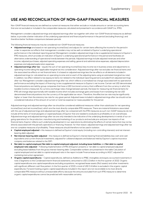### **USE AND RECONCILIATION OF NON-GAAP FINANCIAL MEASURES**

Non-GAAP financial measures are defined as numerical measures that either exclude or include amounts or certain accounting items that are not excluded or included in the comparable measures calculated and presented in accordance with GAAP (i.e., IFRS).

Management considers adjusted earnings and adjusted earnings after tax together with other non-GAAP financial measures as defined below, to provide a better indication of the underlying operational and financial performance in the period (excluding financing), and therefore better facilitate comparisons between periods.

The following financial measures may be considered non-GAAP financial measures:

- **Adjusted earnings** are based on net operating income/(loss) and adjusts for certain items affecting the income for the period in order to separate out effects that management considers may not be well correlated to Equinor's underlying operational performance in the individual reporting period. Management considers adjusted earnings to be a supplemental measure to Equinor's IFRS measures, which provides an indication of Equinor's underlying operational performance in the period and facilitates an alternative understanding of operational trends between the periods. Adjusted earnings include adjusted revenues and other income, adjusted purchases, adjusted operating expenses and selling, general and administrative expenses, adjusted depreciation expenses and adjusted exploration expenses.
- **Adjusted earnings after tax** equals the sum of net operating income/(loss) less income tax in business areas and adjustments to operating income taking the applicable marginal tax into consideration. Adjusted earnings after tax excludes net financial items and the associated tax effects on net financial items. It is based on adjusted earnings less the tax effects on all elements included in adjusted earnings (or calculated tax on operating income and on each of the adjusting items using an estimated marginal tax rate). In addition, tax effect related to tax exposure items not related to the individual reporting period is excluded from adjusted earnings after tax. Management considers adjusted earnings after tax, which reflects a normalised tax charge associated with its operational performance excluding the impact of financing, to be a supplemental measure to Equinor's net income. Certain net USD denominated financial positions are held by group companies that have a USD functional currency that is different from the currency in which the taxable income is measured. As currency exchange rates change between periods, the basis for measuring net financial items for IFRS will change disproportionally with taxable income which includes exchange gains and losses from translating the net USD denominated financial positions into the currency of the applicable tax return. Therefore, the effective tax rate may be significantly higher or lower than the statutory tax rate for any given period. Adjusted taxes included in adjusted earnings after tax should not be considered indicative of the amount of current or total tax expense (or taxes payable) for the period.

Adjusted earnings and adjusted earnings after tax should be considered additional measures rather than substitutes for net operating income/(loss) and net income/(loss), which are the most directly comparable IFRS measures. There are material limitations associated with the use of adjusted earnings and adjusted earnings after tax compared with the IFRS measures as such non-GAAP measures do not include all the items of revenues/gains or expenses/losses of Equinor that are needed to evaluate its profitability on an overall basis. Adjusted earnings and adjusted earnings after tax are only intended to be indicative of the underlying developments in trends of our ongoing operations for the production, manufacturing and marketing of our products and exclude pre-and post-tax impacts of net financial items. Equinor reflects such underlying development in our operations by eliminating the effects of certain items that may not be directly associated with the period's operations or financing. However, for that reason, adjusted earnings and adjusted earnings after tax are not complete measures of profitability. These measures should therefore not be used in isolation.

- **Capital employed adjusted –** this measure is defined as Equinor's total equity (including non-controlling interests) and net interestbearing debt adjusted.
- **Net interest-bearing debt adjusted** this measure is defined as Equinor's interest bearing financial liabilities less cash and cash equivalents and current financial investments, adjusted for collateral deposits and balances held by Equinor's captive insurance company and balances related to the SDFI.
- **Net debt to capital employed**, **Net debt to capital employed adjusted, including lease liabilities** and **Net debt to capital employed ratio adjusted** – Following implementation of IFRS 16 Equinor presents a "net debt to capital employed adjusted" excluding lease liabilities from the gross interest-bearing debt. Comparable numbers are presented in the table Calculation of capital employed and net debt to capital employed ratio in the report include Finance lease according to IAS17, adjusted for marketing instruction agreement.
- **Organic capital expenditures**  Capital expenditures, defined as Additions to PP&E, intangibles and equity accounted investments in note 2 Segments to the Condensed interim financial statements, amounted to USD 2.2 billion in the first quarter of 2022. Organic capital expenditures are capital expenditures excluding acquisitions, recognised lease assets (RoU assets) and other investments with significant different cash flow pattern. In the first quarter of 2022, a total of USD 0.4 billion is excluded in the organic capital expenditures. Forward-looking organic capital expenditures included in this report are not reconcilable to its most directly comparable IFRS measure without unreasonable efforts, because the amounts excluded from such IFRS measure to determine organic capital expenditures cannot be predicted with reasonable certainty.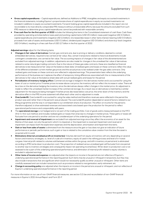- **Gross capital expenditures** Capital expenditures, defined as Additions to PP&E, intangibles and equity accounted investments in the financial statements, including Equinor's proportionate share of capital expenditures in equity accounted investments not included in additions to equity accounted investments. Forward-looking gross capital expenditures included in this report are not reconcilable to its most directly comparable IFRS measure without unreasonable efforts, because the amounts excluded from such IFRS measure to determine gross capital expenditures cannot be predicted with reasonable certainty.
- **Free cash flow for the first quarter of 2022** includes the following line items in the Consolidated statement of cash flows: Cash flows provided by operating activities before taxes paid and working capital items (USD 20.1 billion), taxes paid (negative USD 4.3 billion), capital expenditures and investments (negative USD 2.2 billion), (increase)/decrease in other items interest-bearing (USD 0.0 billion), proceeds from sale of assets and businesses (USD 0.1 billion), dividend paid (negative USD 0.6 billion) and share buy-back (negative USD 0.4 billion), resulting in a free cash flow of USD 12.7 billion in the first quarter of 2022.

#### **Adjusted earnings** adjust for the following items:

- **Changes in fair value of derivatives:** Certain gas contracts are, due to pricing or delivery conditions, deemed to contain embedded derivatives, required to be carried at fair value. Also, certain transactions related to historical divestments include contingent consideration, are carried at fair value. The accounting impacts of changes in fair value of the aforementioned are excluded from adjusted earnings. In addition, adjustments are also made for changes in the unrealised fair value of derivatives related to some natural gas trading contracts. Due to the nature of these gas sales contracts, these are classified as financial derivatives to be measured at fair value at the balance sheet date. Unrealised gains and losses on these contracts reflect the value of the difference between current market gas prices and the actual prices to be realised under the gas sales contracts. Only realised gains and losses on these contracts are reflected in adjusted earnings. This presentation best reflects the underlying performance of the business as it replaces the effect of temporary timing differences associated with the re-measurements of the derivatives to fair value at the balance sheet date with actual realised gains and losses for the period.
- **Periodisation of inventory hedging effect:** Commercial storage is hedged in the derivatives market and is accounted for using the lower of cost or market price. If market prices increase above cost price, the inventory will not reflect this increase in value. There will be a loss on the derivative hedging the inventory since the derivatives always reflect changes in the market price. An adjustment is made to reflect the unrealised market increase of the commercial storage. As a result, loss on derivatives is matched by a similar adjustment for the exposure being managed. If market prices decrease below cost price, the write-down of the inventory and the derivative effect in the IFRS income statement will offset each other and no adjustment is made.
- **Over/underlift**: Over/underlift is accounted for using the sales method and therefore revenues were reflected in the period the product was sold rather than in the period it was produced. The over/underlift position depended on several factors related to our lifting programme and the way it corresponded to our entitlement share of production. The effect on income for the period is therefore adjusted, to show estimated revenues and associated costs based upon the production for the period to reflect operational performance and comparability with peers.
- The **operational storage** is not hedged and is not part of the trading portfolio. Cost of goods sold is measured based on the FIFO (first-in, first-out) method, and includes realised gains or losses that arise due to changes in market prices. These gains or losses will fluctuate from one period to another and are not considered part of the underlying operations for the period.
- **Impairment and reversal of impairment** are excluded from adjusted earnings since they affect the economics of an asset for the lifetime of that asset, not only the period in which it is impaired, or the impairment is reversed. Impairment and reversal of impairment can impact both the exploration expenses and the depreciation, amortisation and impairment line items.
- **Gain or loss from sales of assets** is eliminated from the measure since the gain or loss does not give an indication of future performance or periodic performance; such a gain or loss is related to the cumulative value creation from the time the asset is acquired until it is sold.
- **Eliminations (Internal unrealised profit on inventories)**: Volumes derived from equity oil inventory will vary depending on several factors and inventory strategies, i.e., level of crude oil in inventory, equity oil used in the refining process and level of in-transit cargoes. Internal profit related to volumes sold between entities within the group, and still in inventory at period end, is eliminated according to IFRS (write down to production cost). The proportion of realised versus unrealised gain will fluctuate from one period to another due to inventory strategies and consequently impact net operating income/(loss). Write-down to production cost is not assessed to be a part of the underlying operational performance, and elimination of internal profit related to equity volumes is excluded in adjusted earnings.
- **Other items of income and expense** are adjusted when the impacts on income in the period are not reflective of Equinor's underlying operational performance in the reporting period. Such items may be unusual or infrequent transactions, but they may also include transactions that are significant which would not necessarily qualify as either unusual or infrequent. Other items are carefully assessed and can include transactions such as provisions related to reorganisation, early retirement, etc.
- **Change in accounting policy** are adjusted when the impacts on income in the period are unusual or infrequent, and not reflective of Equinor's underlying operational performance in the reporting period.

For more information on our use of non-GAAP financial measures, see section 5.2 Use and reconciliation of non-GAAP financial measures in Equinor's 2021 Annual Report and Form 20-F.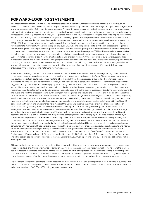### **FORWARD-LOOKING STATEMENTS**

This report contains certain forward-looking statements that involve risks and uncertainties. In some cases, we use words such as "ambition", "continue", "could", "estimate", "intend", "expect", "believe", "likely", "may", "outlook", "plan", "strategy", "will", "guidance", "targets", and similar expressions to identify forward-looking statements. Forward-looking statements include all statements other than statements of historical fact, including, among others, statements regarding Equinor's plans, intentions, aims, ambitions and expectations, including with respect to the Covid-19 pandemic, its impacts, consequences and risks and Equinor's response to it; the decision to stop new investments into Russia and trading in Russian oil, and start the process of exiting Equinor's Russian joint ventures; the commitment to develop as a broad energy company; the ambition to be a leader in the energy transition and reduce net group-wide greenhouse gas emissions by 50% by 2030; future financial performance, including cash flow and liquidity; accounting policies; the ambition to grow cash flow and returns; plans to improve return on average capital employed (ROACE) and competitive capital distribution; expectations regarding returns from Equinor's oil and gas portfolio; plans to develop fields and increase gas exports; plans for renewables production capacity and investments in renewables; expectations regarding development of renewables projects, CCUS and hydrogen businesses; market outlook and future economic projections and assumptions, including commodity price assumptions; organic capital expenditures through 2025; estimates regarding production; the ambition to keep unit of production cost in the top quartile of our peer group; scheduled maintenance activity and the effects thereof on equity production; completion and results of acquisitions and disposals; expected amount and timing of dividend payments and the implementation of our share buy-back programme; and provisions and contingent liabilities. You should not place undue reliance on these forward-looking statements. Our actual results could differ materially from those anticipated in the forward-looking statements for many reasons.

These forward-looking statements reflect current views about future events and are, by their nature, subject to significant risks and uncertainties because they relate to events and depend on circumstances that will occur in the future. There are a number of factors that could cause actual results and developments to differ materially from those expressed or implied by these forward-looking statements, including levels of industry product supply, demand and pricing, in particular in light of recent significant oil price volatility triggered, among other things, by the changing dynamic among OPEC+ members, the pressure on US shale oil companies from their shareholders to use their higher cashflow to pay debt and dividends rather than increase drilling and production and the uncertainty regarding demand created by the Covid-19 pandemic; Russia's invasion of Ukraine and our subsequent decision to stop new investments into Russia and start the process of exiting our Russian joint ventures; levels and calculations of reserves and material differences from reserves estimates; natural disasters, adverse weather conditions, climate change, and other changes to business conditions; regulatory stability and access to attractive renewable opportunities; unsuccessful drilling; operational problems, in particular in light of quarantine rules, travel restrictions, manpower shortage, supply chain disruptions and social distancing requirements triggered by the Covid-19 pandemic; health, safety and environmental risks; impact of the Covid-19 pandemic; the effects of climate change; regulations on hydraulic fracturing; security breaches, including breaches of our digital infrastructure (cybersecurity); ineffectiveness of crisis management systems; the actions of competitors; the development and use of new technology, particularly in the renewable energy sector; inability to meet strategic objectives; the difficulties involving transportation infrastructure; political and social stability and economic growth in relevant areas of the world; reputational damage; exercise of ownership by the Norwegian state; an inability to attract and retain personnel; risks related to implementing a new corporate structure; inadequate insurance coverage; changes or uncertainty in or non-compliance with laws and governmental regulations; the actions of the Norwegian state as majority shareholder; failure to meet our ethical and social standards; the political and economic policies of Norway and other oil-producing countries; noncompliance with international trade sanctions; the actions of field partners; adverse changes in tax regimes; exchange rate and interest rate fluctuations; factors relating to trading, supply and financial risk; general economic conditions; and other factors discussed elsewhere in this report. Additional information, including information on factors that may affect Equinor's business, is contained in Equinor's Annual Report on Form 20-F for the year ended December 31, 2021, filed with the U.S. Securities and Exchange Commission (including section 2.13 Risk review - Risk factors thereof). Equinor's 2021 Annual Report and Form 20-F is available at Equinor's website www.equinor.com.

Although we believe that the expectations reflected in the forward-looking statements are reasonable, we cannot assure you that our future results, level of activity, performance or achievements will meet these expectations. Moreover, neither we nor any other person assumes responsibility for the accuracy and completeness of the forward-looking statements. Any forward-looking statement speaks only as of the date on which such statement is made, and, except as required by applicable law, we undertake no obligation to update any of these statements after the date of this report, either to make them conform to actual results or changes in our expectations.

We use certain terms in this document, such as "resource" and "resources" that the SEC's rules prohibit us from including in our filings with the SEC. U.S. investors are urged to closely consider the disclosures in our Form 20-F, SEC File No. 1-15200. This form is available on our website or by calling 1-800-SEC-0330 or logging on to www.sec.gov.